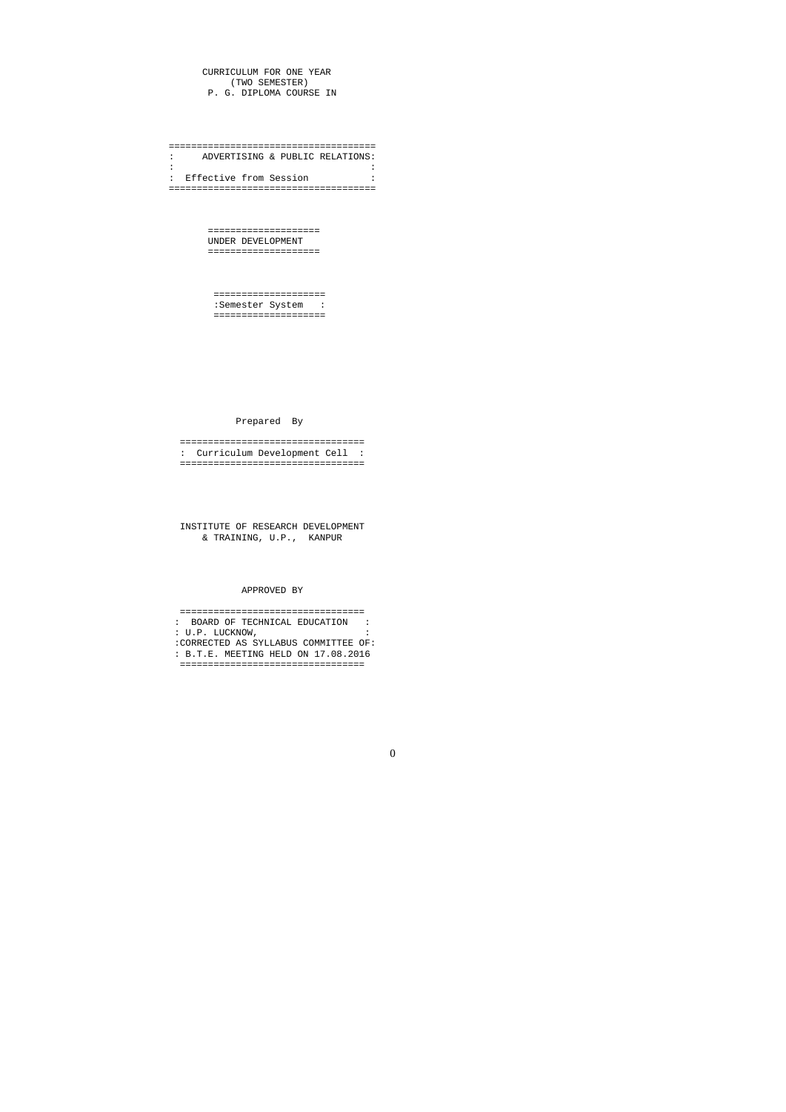CURRICULUM FOR ONE YEAR (TWO SEMESTER) P. G. DIPLOMA COURSE IN

===================================== : ADVERTISING & PUBLIC RELATIONS: : the second contract of the second contract of the second contract of the second contract of the second contract of : Effective from Session : =====================================

> ==================== UNDER DEVELOPMENT ====================

 ==================== :Semester System : ====================

Prepared By

 ================================= : Curriculum Development Cell : =================================

 INSTITUTE OF RESEARCH DEVELOPMENT & TRAINING, U.P., KANPUR

# APPROVED BY

 ================================= : BOARD OF TECHNICAL EDUCATION : : U.P. LUCKNOW, : :CORRECTED AS SYLLABUS COMMITTEE OF: : B.T.E. MEETING HELD ON 17.08.2016 =================================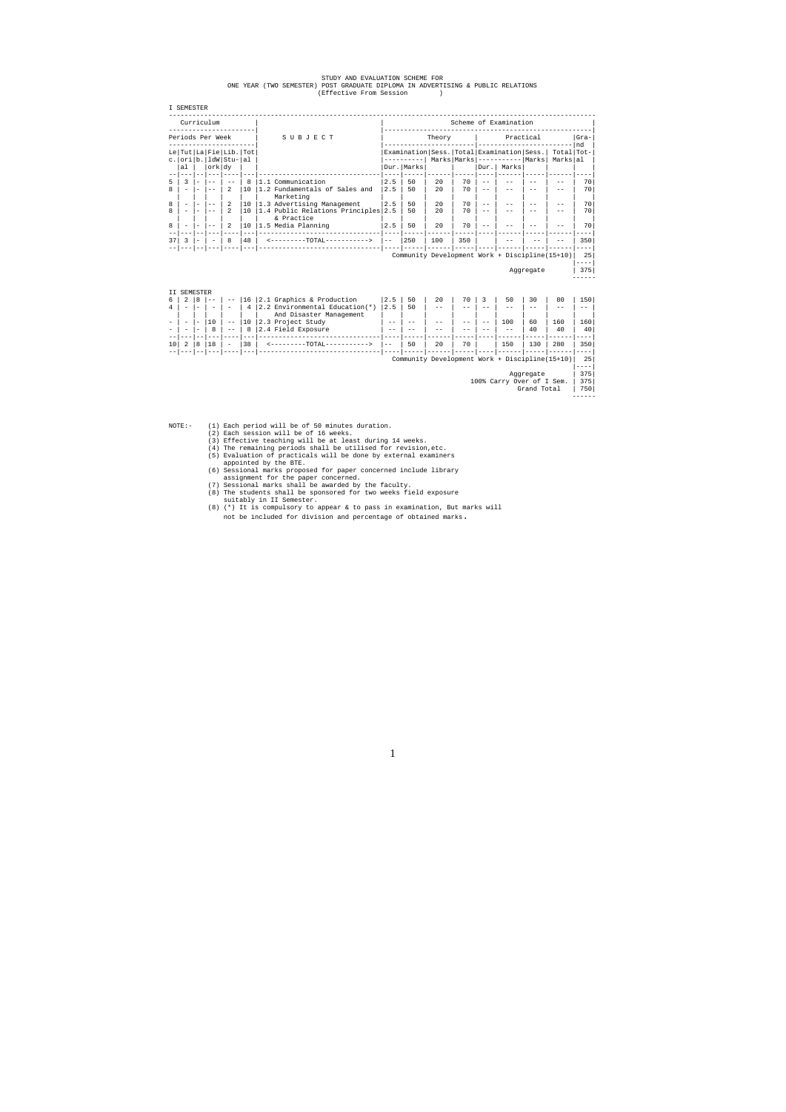|  |  | STUDY AND EVALUATION SCHEME FOR |  |                                                                                 |  |  |
|--|--|---------------------------------|--|---------------------------------------------------------------------------------|--|--|
|  |  |                                 |  | ONE YEAR (TWO SEMESTER) POST GRADUATE DIPLOMA IN ADVERTISING & PUBLIC RELATIONS |  |  |
|  |  | (Effective From Session         |  |                                                                                 |  |  |

| <b>I SEMESTER</b> |
|-------------------|
|                   |
| Curriculum        |
|                   |

|        |  | Scheme of Examination |                     |                    |                                                                                                                                                        |  |
|--------|--|-----------------------|---------------------|--------------------|--------------------------------------------------------------------------------------------------------------------------------------------------------|--|
| Theory |  |                       | Practical<br>$Gra-$ |                    |                                                                                                                                                        |  |
|        |  |                       |                     | Markslal           | nd                                                                                                                                                     |  |
|        |  |                       |                     |                    |                                                                                                                                                        |  |
| 70     |  |                       |                     |                    | 70                                                                                                                                                     |  |
| 70     |  |                       |                     |                    | 70                                                                                                                                                     |  |
| 70     |  |                       |                     |                    | 70                                                                                                                                                     |  |
| 70     |  |                       |                     |                    | 70                                                                                                                                                     |  |
| 70     |  |                       |                     |                    | 70                                                                                                                                                     |  |
| 350    |  |                       |                     |                    | 350                                                                                                                                                    |  |
|        |  |                       |                     |                    |                                                                                                                                                        |  |
|        |  |                       |                     |                    | 25                                                                                                                                                     |  |
|        |  |                       |                     |                    | 375                                                                                                                                                    |  |
|        |  |                       | Dur.                | Marks<br>Aggregate | Examination   Sess.   Total   Examination   Sess.   Total   Tot-<br>$Marks$  Marks ---------- Marks <br>Community Development Work + Discipline(15+10) |  |

II SEMESTER<br>6 | 2 | 8 |--<br>4 | - |- | -6 | 2 |8 |-- | -- |16 |2.1 Graphics & Production |2.5 | 50 | 20 | 70 | 3 | 50 | 30 | 80 | 150| 4 | - |- | - | - | 4 |2.2 Environmental Education(\*) |2.5 | 50 | -- | -- | -- | -- | -- | -- | -- | | | | | | | And Disaster Management | | | | | | | | | | - | - |- |10 | -- |10 |2.3 Project Study | -- | -- | -- | -- | -- | 100 | 60 | 160 | 160| - | - |- | 8 | -- | 8 |2.4 Field Exposure | -- | -- | -- | -- | -- | -- | 40 | 40 | 40| --|---|--|---|----|---|-------------------------------|----|-----|------|-----|----|------|-----|------|----| 10| 2 |8 |18 | - |38 | <---------TOTAL-----------> |-- | 50 | 20 | 70 | | 150 | 130 | 280 | 350| --|---|--|---|----|---|-------------------------------|----|-----|------|-----|----|------|-----|------|----| Community Development Work + Discipline(15+10)| 25| |----|

Grand Total | 750 ------

 $NOTE: -$ 

- $(1)$  Each period will be of 50 minutes duration.
- 
- (2) Each session will be of 16 weeks. (3) Effective teaching will be at least during 14 weeks. (4) The remaining periods shall be utilised for revision,etc.
	-
- (5) Evaluation of practicals will be done by external examiners appointed by the BTE. (6) Sessional marks proposed for paper concerned include library
	-
	-
- assignment for the paper concerned. (7) Sessional marks shall be awarded by the faculty. (8) The students shall be sponsored for two weeks field exposure
	-
- suitably in II Semester. (8) (\*) It is compulsory to appear & to pass in examination, But marks will not be included for division and percentage of obtained marks.

------

Aggregate | 375| 100% Carry Over of I Sem. | 375|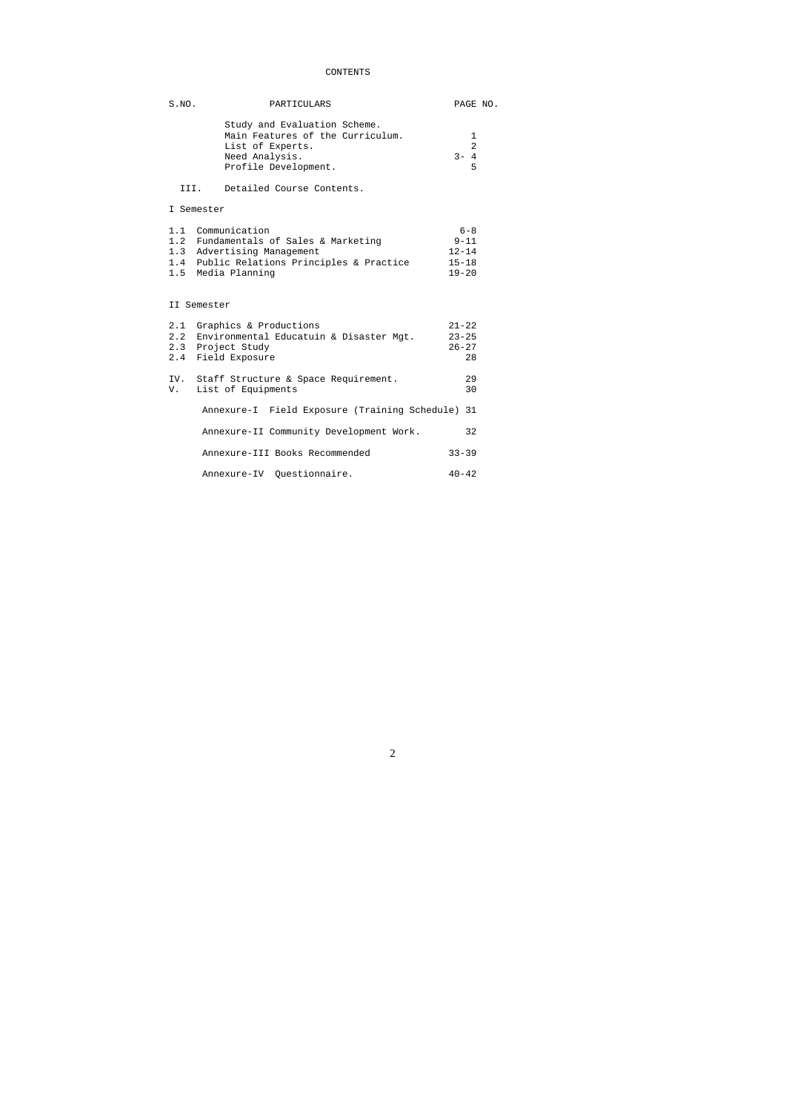# CONTENTS

| S.NO. | PARTICULARS                                                                                                                                                  | PAGE NO.                                                   |
|-------|--------------------------------------------------------------------------------------------------------------------------------------------------------------|------------------------------------------------------------|
|       | Study and Evaluation Scheme.<br>Main Features of the Curriculum.<br>List of Experts.<br>Need Analysis.<br>Profile Development.                               | 1<br>$\overline{a}$<br>$3 - 4$<br>5                        |
|       | III. Detailed Course Contents.                                                                                                                               |                                                            |
|       | I Semester                                                                                                                                                   |                                                            |
|       | 1.1 Communication<br>1.2 Fundamentals of Sales & Marketing<br>1.3 Advertising Management<br>1.4 Public Relations Principles & Practice<br>1.5 Media Planning | $6 - 8$<br>$9 - 11$<br>$12 - 14$<br>$15 - 18$<br>$19 - 20$ |
|       | II Semester                                                                                                                                                  |                                                            |
|       | 2.1 Graphics & Productions<br>2.2 Environmental Educatuin & Disaster Mgt.<br>2.3 Project Study<br>2.4 Field Exposure                                         | $21 - 22$<br>$23 - 25$<br>$26 - 27$<br>28                  |
| V.    | IV. Staff Structure & Space Requirement.<br>List of Equipments                                                                                               | 29<br>30                                                   |
|       | Annexure-I Field Exposure (Training Schedule) 31                                                                                                             |                                                            |
|       | Annexure-II Community Development Work.                                                                                                                      | 32                                                         |
|       | Annexure-III Books Recommended                                                                                                                               | $33 - 39$                                                  |
|       | Annexure-IV Ouestionnaire.                                                                                                                                   | $40 - 42$                                                  |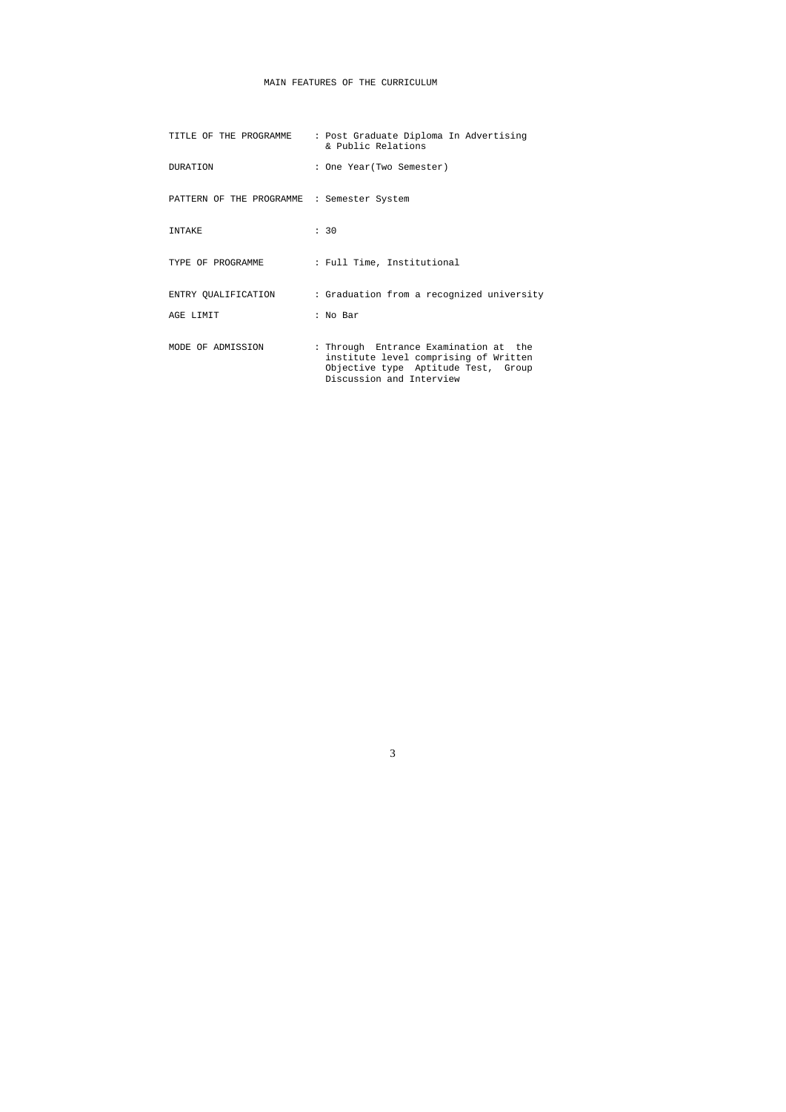# MAIN FEATURES OF THE CURRICULUM

| TITLE OF THE PROGRAMME                     | : Post Graduate Diploma In Advertising<br>& Public Relations                                                                                      |
|--------------------------------------------|---------------------------------------------------------------------------------------------------------------------------------------------------|
| <b>DURATION</b>                            | : One Year (Two Semester)                                                                                                                         |
| PATTERN OF THE PROGRAMME : Semester System |                                                                                                                                                   |
| INTAKE                                     | : 30                                                                                                                                              |
| TYPE OF PROGRAMME                          | : Full Time, Institutional                                                                                                                        |
| ENTRY QUALIFICATION                        | : Graduation from a recognized university                                                                                                         |
| AGE LIMIT                                  | : No Bar                                                                                                                                          |
| MODE OF ADMISSION                          | : Through Entrance Examination at the<br>institute level comprising of Written<br>Objective type Aptitude Test, Group<br>Discussion and Interview |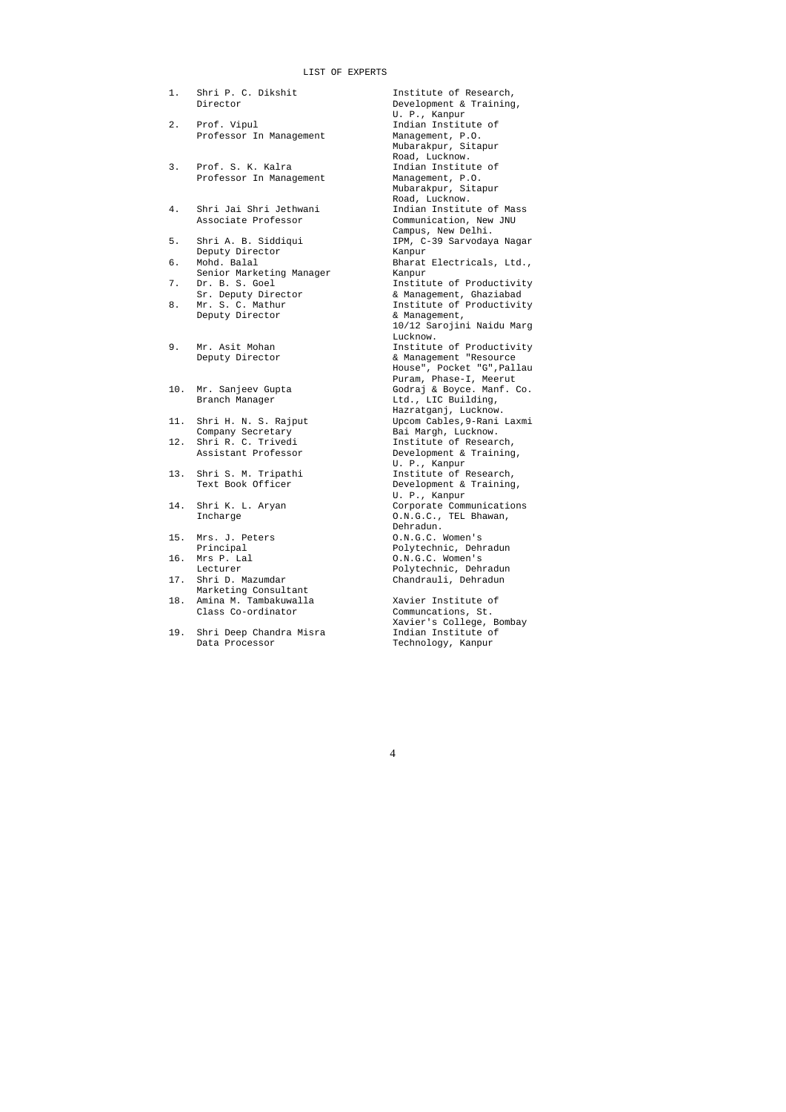#### LIST OF EXPERTS

- 1. Shri P. C. Dikshit **Institute of Research**,
- 2. Prof. Vipul Indian Institute of<br>Professor In Management Management, P.O. Professor In Management
- 3. Prof. S. K. Kalra Indian Institute of Professor In Management Management, P.O. Professor In Management
- 4. Shri Jai Shri Jethwani Indian Institute of Mass
- Deputy Director and Kanpur Kanpur 6. Mohd. Balal
- Senior Marketing Manager Kanpur
- 
- 
- 
- 
- 
- 12. Shri R. C. Trivedi
- 
- 
- 15. Mrs. J. Peters
- 
- 17. Shri D. Mazumdar Chandrauli, Dehradun Marketing Consultant
- 18. Amina M. Tambakuwalla Xavier Institute of Class Co-ordinator Communcations, St. Class Co-ordinator
- 19. Shri Deep Chandra Misra Indian Institute of Data Processor **Technology**, Kanpur

Director Development & Training, U. P., Kanpur Mubarakpur, Sitapur Road, Lucknow. Mubarakpur, Sitapur Road, Lucknow. Associate Professor Communication, New JNU Campus, New Delhi. IPM, C-39 Sarvodaya Nagar Bharat Electricals, Ltd., 7. Dr. B. S. Goel **Institute of Productivity**  Sr. Deputy Director & Management, Ghaziabad 8. Mr. S. C. Mathur **Institute of Productivity** Deputy Director  $\&$  Management, 10/12 Sarojini Naidu Marg Lucknow. 9. Mr. Asit Mohan **Institute of Productivity** Deputy Director **Exercise 2** & Management "Resource House", Pocket "G",Pallau Puram, Phase-I, Meerut 10. Mr. Sanjeev Gupta Godraj & Boyce. Manf. Co. Ltd., LIC Building, Hazratganj, Lucknow.<br>11. Shri H. N. S. Rajput Upcom Cables, 9-Rani Upcom Cables, 9-Rani Laxmi Company Secretary 1997 - Bai Margh, Lucknow.<br>
Shri R. C. Trivedi 1nstitute of Research, Assistant Professor **Development & Training,** U. P., Kanpur<br>13. Shri S. M. Tripathi Institute of F Institute of Research, Text Book Officer **Development & Training,** U. P., Kanpur<br>14. Shri K. L. Aryan Corporate Comm Corporate Communications Incharge  $0.N.G.C., TEL Bhawan,$ Dehradun.<br>O.N.G.C. Women's Principal Polytechnic, Dehradun 0.N.G.C. Women's Lecturer **Polytechnic**, Dehradun

Xavier's College, Bombay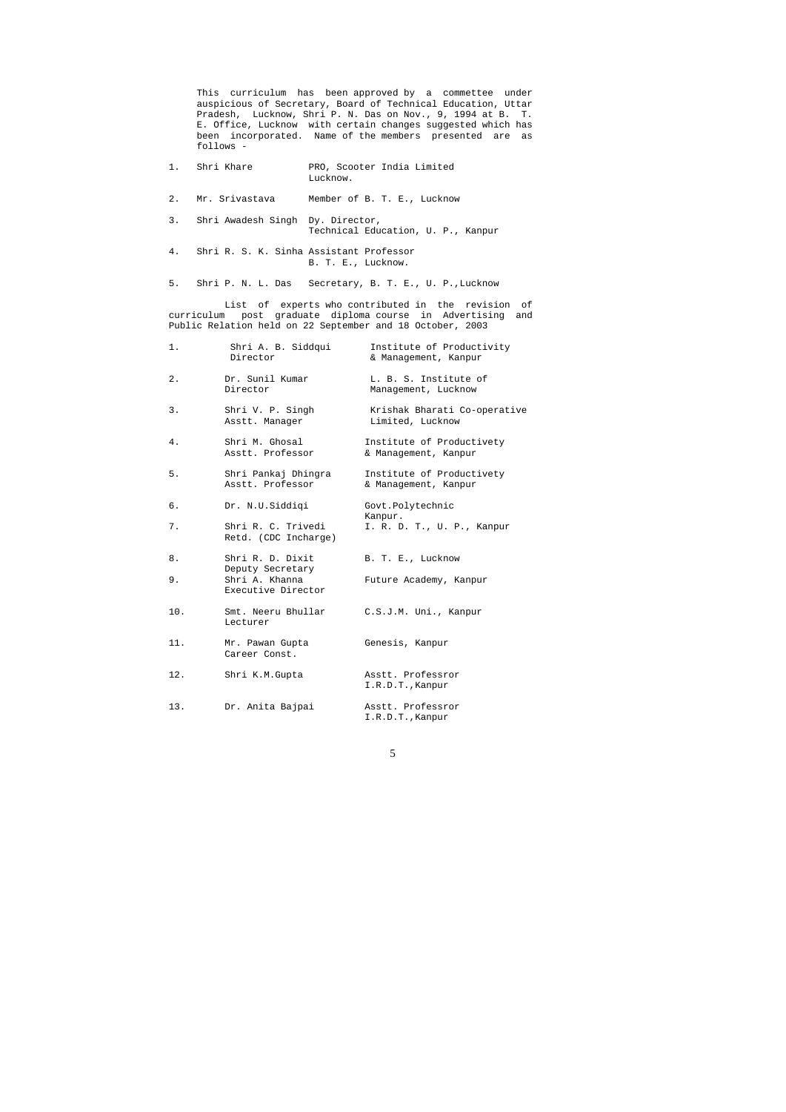This curriculum has been approved by a commettee under auspicious of Secretary, Board of Technical Education, Uttar Pradesh, Lucknow, Shri P. N. Das on Nov., 9, 1994 at B. T. E. Office, Lucknow with certain changes suggested which has been incorporated. Name of the members presented are as follows -

|       | 1. Shri Khare                                                                                                                                                                 | PRO, Scooter India Limited<br>Lucknow.                   |  |  |  |  |
|-------|-------------------------------------------------------------------------------------------------------------------------------------------------------------------------------|----------------------------------------------------------|--|--|--|--|
| 2.    |                                                                                                                                                                               | Mr. Srivastava Member of B. T. E., Lucknow               |  |  |  |  |
|       | 3. Shri Awadesh Singh Dy. Director,                                                                                                                                           | Technical Education, U. P., Kanpur                       |  |  |  |  |
|       | 4. Shri R. S. K. Sinha Assistant Professor                                                                                                                                    | B. T. E., Lucknow.                                       |  |  |  |  |
|       |                                                                                                                                                                               | 5. Shri P. N. L. Das Secretary, B. T. E., U. P., Lucknow |  |  |  |  |
|       | List of experts who contributed in the revision of<br>curriculum post graduate diploma course in Advertising and<br>Public Relation held on 22 September and 18 October, 2003 |                                                          |  |  |  |  |
| $1$ . | Shri A. B. Siddqui<br>Director                                                                                                                                                | Institute of Productivity<br>& Management, Kanpur        |  |  |  |  |
| $2$ . | Dr. Sunil Kumar<br>Director                                                                                                                                                   | L. B. S. Institute of<br>Management, Lucknow             |  |  |  |  |
| 3.    | Shri V. P. Singh                                                                                                                                                              | Krishak Bharati Co-operative                             |  |  |  |  |

Asstt. Manager **Limited**, Lucknow

4. Shri M. Ghosal Institute of Productivety<br>Asstt. Professor & Management, Kanpur & Management, Kanpur

8. Shri R. D. Dixit B. T. E., Lucknow Deputy Secretary 9. Shri A. Khanna Future Academy, Kanpur Executive Director 10. Smt. Neeru Bhullar C.S.J.M. Uni., Kanpur Lecturer

 Career Const. 12. Shri K.M.Gupta Masstt. Professror

5. Shri Pankaj Dhingra Institute of Productivety Asstt. Professor & Management, Kanpur

6. Dr. N.U.Siddiqi Govt.Polytechnic Kanpur.<br>Shri R. C. Trivedi I. R. D 7. Shri R. C. Trivedi I. R. D. T., U. P., Kanpur

Retd. (CDC Incharge)

11. Mr. Pawan Gupta Genesis, Kanpur

I.R.D.T.,Kanpur

13. Dr. Anita Bajpai Asstt. Professror I.R.D.T.,Kanpur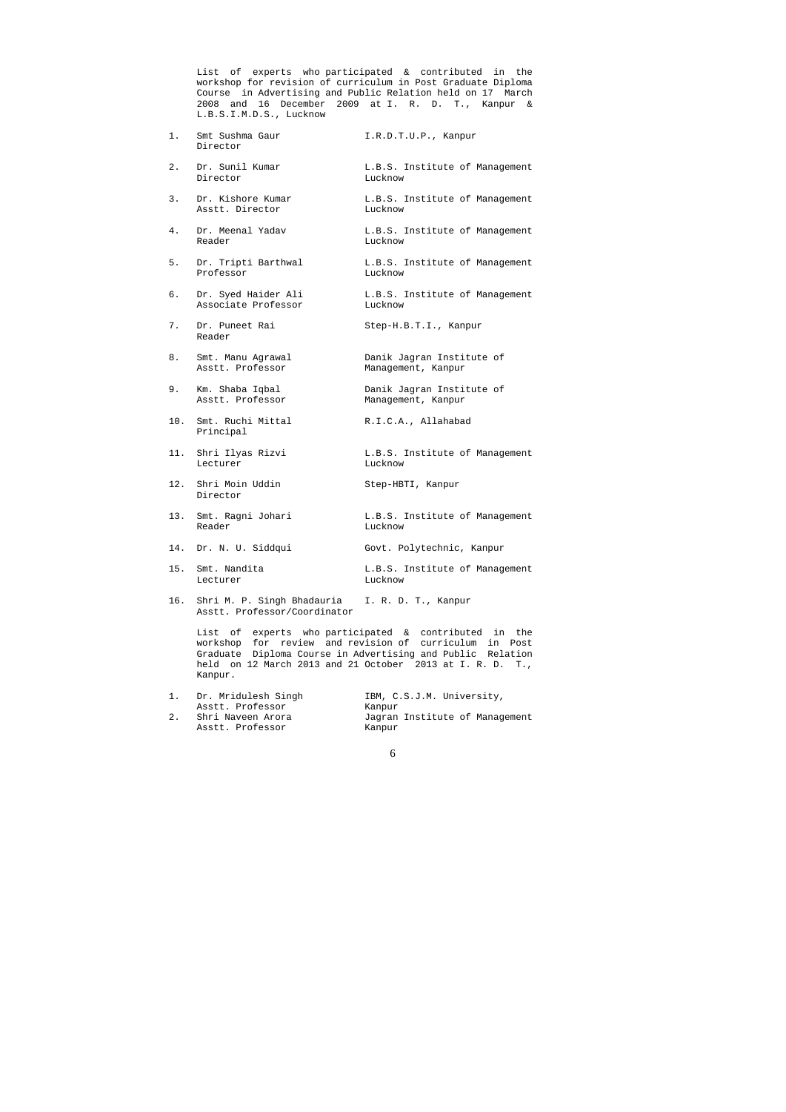List of experts who participated & contributed in the workshop for revision of curriculum in Post Graduate Diploma Course in Advertising and Public Relation held on 17 March 2008 and 16 December 2009 at I. R. D. T., Kanpur & L.B.S.I.M.D.S., Lucknow

- 1. Smt Sushma Gaur 1.R.D.T.U.P., Kanpur Director
- 2. Dr. Sunil Kumar L.B.S. Institute of Management Director Lucknow
- 3. Dr. Kishore Kumar L.B.S. Institute of Management Asstt. Director Lucknow
- 4. Dr. Meenal Yadav L.B.S. Institute of Management Reader Lucknow
- 5. Dr. Tripti Barthwal L.B.S. Institute of Management Professor Lucknow
- 6. Dr. Syed Haider Ali L.B.S. Institute of Management Associate Professor Lucknow
- 7. Dr. Puneet Rai Step-H.B.T.I., Kanpur Reader
- 8. Smt. Manu Agrawal **Danik Jagran Institute of** Asstt. Professor Management, Kanpur
- 9. Km. Shaba Iqbal Danik Jagran Institute of Asstt. Professor Management, Kanpur
- 10. Smt. Ruchi Mittal R.I.C.A., Allahabad Principal
- 11. Shri Ilyas Rizvi L.B.S. Institute of Management Lecturer Lucknow
- 12. Shri Moin Uddin Step-HBTI, Kanpur Director
- 13. Smt. Ragni Johari L.B.S. Institute of Management Reader Lucknow
- 14. Dr. N. U. Siddqui Govt. Polytechnic, Kanpur
- 15. Smt. Nandita **L.B.S.** Institute of Management Lecturer Lucknow
- 16. Shri M. P. Singh Bhadauria I. R. D. T., Kanpur Asstt. Professor/Coordinator

 List of experts who participated & contributed in the workshop for review and revision of curriculum in Post Graduate Diploma Course in Advertising and Public Relation held on 12 March 2013 and 21 October 2013 at I. R. D. T., Kanpur.

| 1. | Dr. Mridulesh Singh | IBM, C.S.J.M. University,      |
|----|---------------------|--------------------------------|
|    | Asstt. Professor    | Kanpur                         |
|    | Shri Naveen Arora   | Jagran Institute of Management |
|    | Asstt. Professor    | Kanpur                         |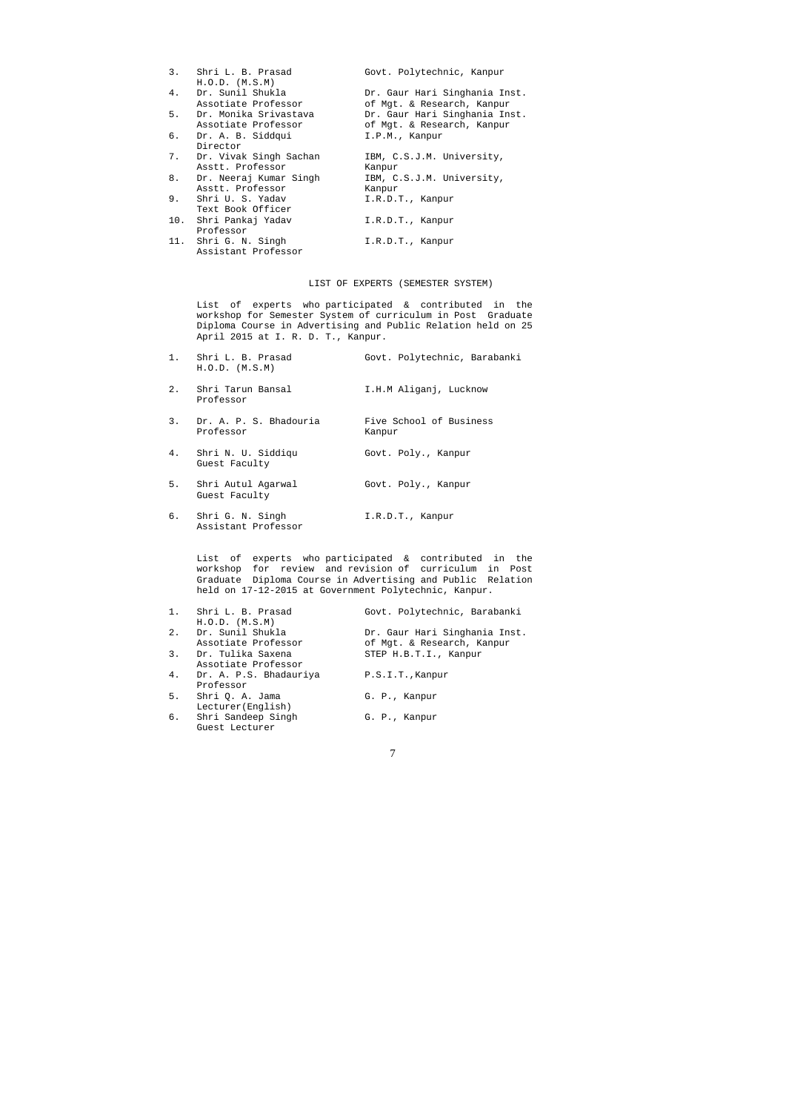| 3.  | Shri L. B. Prasad         | Govt. Polytechnic, Kanpur     |
|-----|---------------------------|-------------------------------|
|     | $H.O.D.$ $(M.S.M)$        |                               |
| 4.  | Dr. Sunil Shukla          | Dr. Gaur Hari Singhania Inst. |
|     | Assotiate Professor       | of Mgt. & Research, Kanpur    |
| 5.  | Dr. Monika Srivastava     | Dr. Gaur Hari Singhania Inst. |
|     | Assotiate Professor       | of Mgt. & Research, Kanpur    |
| б.  | Dr. A. B. Siddqui         | I.P.M., Kanpur                |
|     | Director                  |                               |
|     | 7. Dr. Vivak Singh Sachan | IBM, C.S.J.M. University,     |
|     | Asstt, Professor          | Kanpur                        |
| 8.  | Dr. Neeraj Kumar Singh    | IBM, C.S.J.M. University,     |
|     | Asstt, Professor          | Kanpur                        |
| 9.  | Shri U. S. Yadav          | I.R.D.T., Kanpur              |
|     | Text Book Officer         |                               |
| 10. | Shri Pankaj Yadav         | I.R.D.T., Kanpur              |
|     | Professor                 |                               |
|     | 11. Shri G. N. Singh      | I.R.D.T., Kanpur              |
|     | Assistant Professor       |                               |

- 2. Shri Tarun Bansal I.H.M Aliganj, Lucknow Professor
- 3. Dr. A. P. S. Bhadouria Five School of Business<br>Professor Kanpur Professor
- 4. Shri N. U. Siddiqu Govt. Poly., Kanpur Guest Faculty
- 5. Shri Autul Agarwal Govt. Poly., Kanpur Guest Faculty
- 6. Shri G. N. Singh I.R.D.T., Kanpur Assistant Professor

# LIST OF EXPERTS (SEMESTER SYSTEM)

 List of experts who participated & contributed in the workshop for Semester System of curriculum in Post Graduate Diploma Course in Advertising and Public Relation held on 25 April 2015 at I. R. D. T., Kanpur.

| 1. Shri L. B. Prasad<br>$H.O.D.$ $(M.S.M)$ |                     | Govt. Polytechnic, Barabanki |
|--------------------------------------------|---------------------|------------------------------|
| Chri Torun Donael                          | THM Aligani Iughnow |                              |

 List of experts who participated & contributed in the workshop for review and revision of curriculum in Post Graduate Diploma Course in Advertising and Public Relation held on 17-12-2015 at Government Polytechnic, Kanpur.

|       | 1. Shri L. B. Prasad<br>$H.O.D.$ $(M.S.M)$ | Govt. Polytechnic, Barabanki                                |
|-------|--------------------------------------------|-------------------------------------------------------------|
| $2$ . | Dr. Sunil Shukla<br>Assotiate Professor    | Dr. Gaur Hari Singhania Inst.<br>of Mgt. & Research, Kanpur |
| 3.    | Dr. Tulika Saxena<br>Assotiate Professor   | STEP H.B.T.I., Kanpur                                       |
| 4.    | Dr. A. P.S. Bhadauriya<br>Professor        | P.S.I.T., Kanpur                                            |
| 5.    | Shri Q. A. Jama<br>Lecturer (English)      | G. P., Kanpur                                               |
|       | 6. Shri Sandeep Singh<br>Guest Lecturer    | G. P., Kanpur                                               |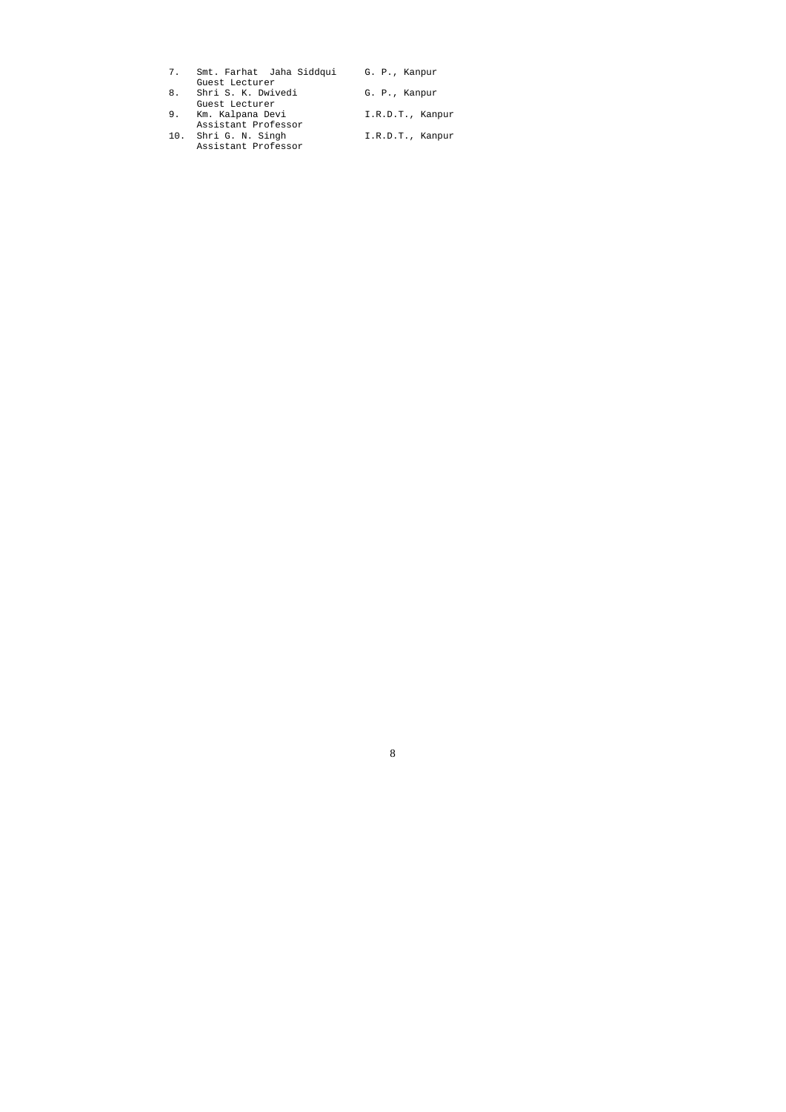| 7. | Smt. Farhat Jaha Siddqui | G. P., Kanpur    |
|----|--------------------------|------------------|
|    | Guest Lecturer           |                  |
| 8. | Shri S. K. Dwivedi       | G. P., Kanpur    |
|    | Guest Lecturer           |                  |
| 9. | Km. Kalpana Devi         | I.R.D.T., Kanpur |
|    | Assistant Professor      |                  |
|    | 10. Shri G. N. Singh     | I.R.D.T., Kanpur |
|    | Assistant Professor      |                  |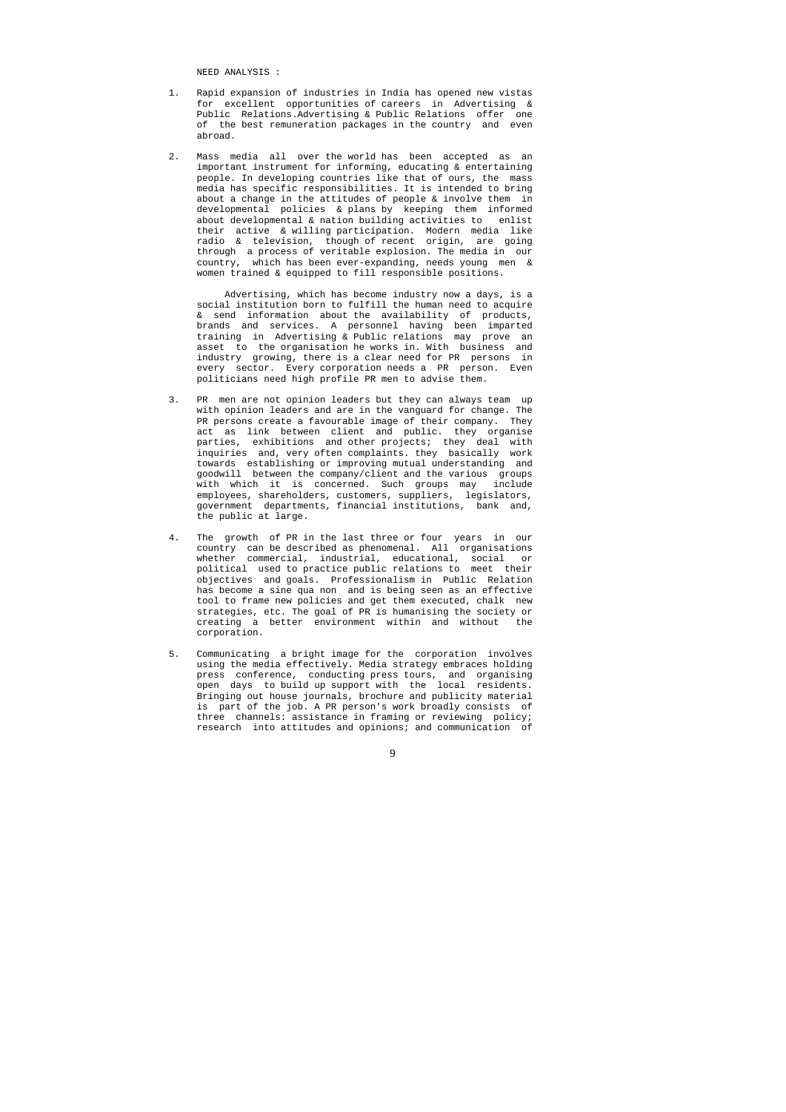NEED ANALYSIS :

- 1. Rapid expansion of industries in India has opened new vistas for excellent opportunities of careers in Advertising & Public Relations.Advertising & Public Relations offer one of the best remuneration packages in the country and even abroad.
- 2. Mass media all over the world has been accepted as an important instrument for informing, educating & entertaining people. In developing countries like that of ours, the mass media has specific responsibilities. It is intended to bring about a change in the attitudes of people & involve them in developmental policies & plans by keeping them informed about developmental & nation building activities to enlist their active & willing participation. Modern media like radio & television, though of recent origin, are going through a process of veritable explosion. The media in our country, which has been ever-expanding, needs young men & women trained & equipped to fill responsible positions.

 Advertising, which has become industry now a days, is a social institution born to fulfill the human need to acquire & send information about the availability of products, brands and services. A personnel having been imparted training in Advertising & Public relations may prove an asset to the organisation he works in. With business and industry growing, there is a clear need for PR persons in every sector. Every corporation needs a PR person. Even politicians need high profile PR men to advise them.

- PR men are not opinion leaders but they can always team up with opinion leaders and are in the vanguard for change. The PR persons create a favourable image of their company. They act as link between client and public. they organise parties, exhibitions and other projects; they deal with inquiries and, very often complaints. they basically work towards establishing or improving mutual understanding and goodwill between the company/client and the various groups with which it is concerned. Such groups may include employees, shareholders, customers, suppliers, legislators, government departments, financial institutions, bank and, the public at large.
- 4. The growth of PR in the last three or four years in our country can be described as phenomenal. All organisations whether commercial, industrial, educational, social or political used to practice public relations to meet their objectives and goals. Professionalism in Public Relation has become a sine qua non and is being seen as an effective tool to frame new policies and get them executed, chalk new strategies, etc. The goal of PR is humanising the society or creating a better environment within and without the corporation.
- 5. Communicating a bright image for the corporation involves using the media effectively. Media strategy embraces holding press conference, conducting press tours, and organising open days to build up support with the local residents. Bringing out house journals, brochure and publicity material is part of the job. A PR person's work broadly consists of three channels: assistance in framing or reviewing policy; research into attitudes and opinions; and communication of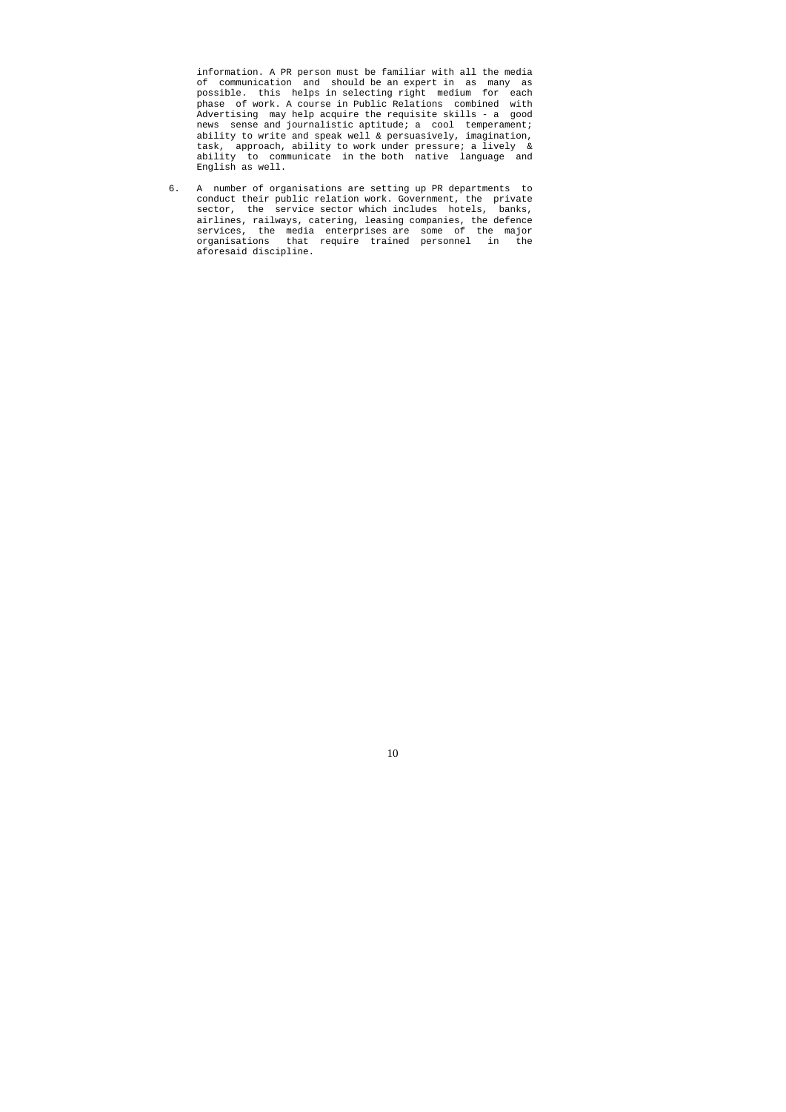information. A PR person must be familiar with all the media of communication and should be an expert in as many as possible. this helps in selecting right medium for each phase of work. A course in Public Relations combined with Advertising may help acquire the requisite skills - a good news sense and journalistic aptitude; a cool temperament; ability to write and speak well & persuasively, imagination, task, approach, ability to work under pressure; a lively & ability to communicate in the both native language and English as well.

6. A number of organisations are setting up PR departments to conduct their public relation work. Government, the private sector, the service sector which includes hotels, banks, airlines, railways, catering, leasing companies, the defence services, the media enterprises are some of the major organisations that require trained personnel in the aforesaid discipline.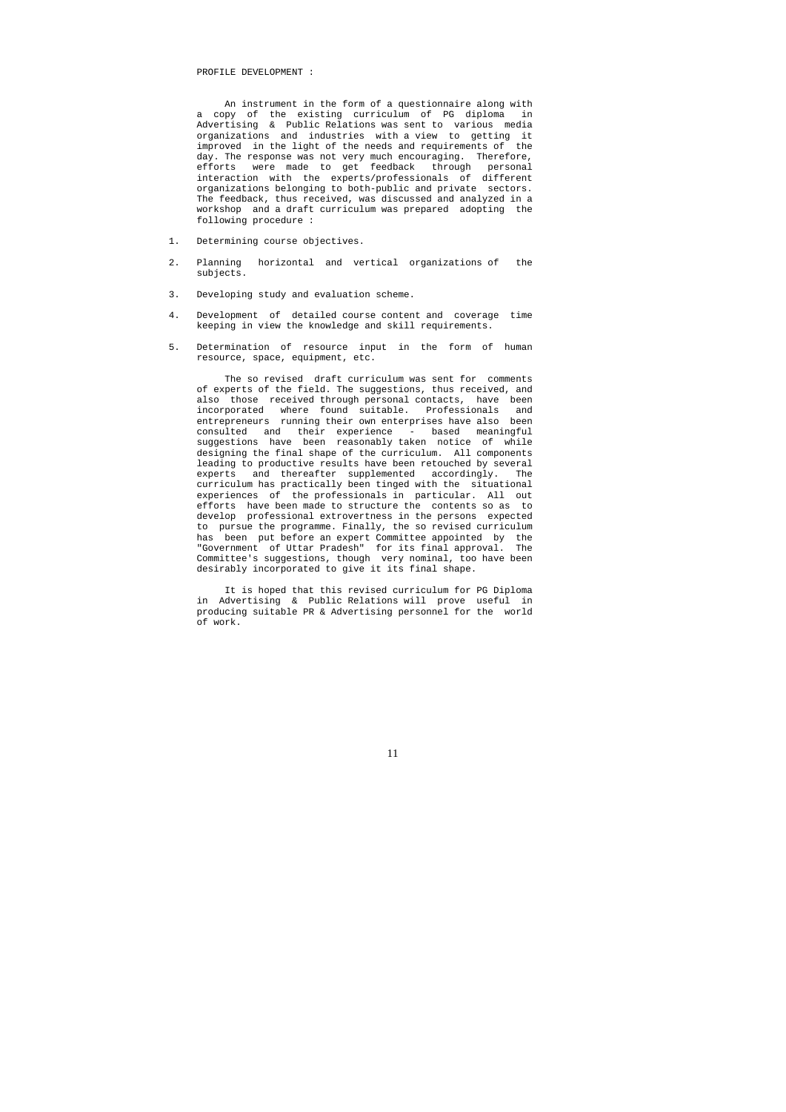#### PROFILE DEVELOPMENT :

 An instrument in the form of a questionnaire along with a copy of the existing curriculum of PG diploma in Advertising & Public Relations was sent to various media organizations and industries with a view to getting it improved in the light of the needs and requirements of the day. The response was not very much encouraging. Therefore, efforts were made to get feedback through personal interaction with the experts/professionals of different organizations belonging to both-public and private sectors. The feedback, thus received, was discussed and analyzed in a workshop and a draft curriculum was prepared adopting the following procedure :

- 1. Determining course objectives.
- 2. Planning horizontal and vertical organizations of the subjects.
- 3. Developing study and evaluation scheme.
- 4. Development of detailed course content and coverage time keeping in view the knowledge and skill requirements.
- 5. Determination of resource input in the form of human resource, space, equipment, etc.

 The so revised draft curriculum was sent for comments of experts of the field. The suggestions, thus received, and also those received through personal contacts, have been incorporated where found suitable. Professionals and entrepreneurs running their own enterprises have also been consulted and their experience - based meaningful suggestions have been reasonably taken notice of while designing the final shape of the curriculum. All components leading to productive results have been retouched by several experts and thereafter supplemented accordingly. The curriculum has practically been tinged with the situational experiences of the professionals in particular. All out efforts have been made to structure the contents so as to develop professional extrovertness in the persons expected to pursue the programme. Finally, the so revised curriculum has been put before an expert Committee appointed by the "Government of Uttar Pradesh" for its final approval. The Committee's suggestions, though very nominal, too have been desirably incorporated to give it its final shape.

 It is hoped that this revised curriculum for PG Diploma in Advertising & Public Relations will prove useful in producing suitable PR & Advertising personnel for the world of work.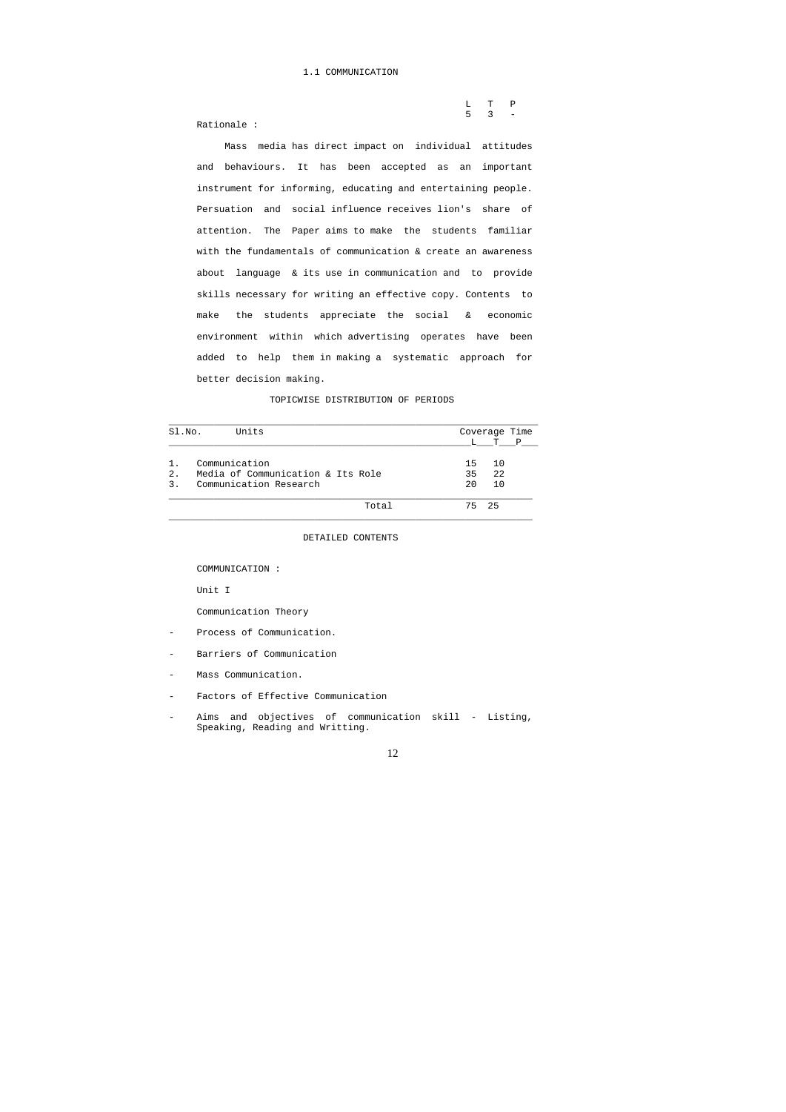## 1.1 COMMUNICATION

|                    |  | L T P       |  |
|--------------------|--|-------------|--|
|                    |  | $5 \t3 \t-$ |  |
| $P^{\text{stion}}$ |  |             |  |

Rationale :

 Mass media has direct impact on individual attitudes and behaviours. It has been accepted as an important instrument for informing, educating and entertaining people. Persuation and social influence receives lion's share of attention. The Paper aims to make the students familiar with the fundamentals of communication & create an awareness about language & its use in communication and to provide skills necessary for writing an effective copy. Contents to make the students appreciate the social & economic environment within which advertising operates have been added to help them in making a systematic approach for better decision making.

- Process of Communication.
- Barriers of Communication
- Mass Communication.
- Factors of Effective Communication
- Aims and objectives of communication skill Listing, Speaking, Reading and Writting.

#### TOPICWISE DISTRIBUTION OF PERIODS

| SI.NO.        | Units                             |    | Coverage Time |     |
|---------------|-----------------------------------|----|---------------|-----|
|               |                                   |    |               | T P |
| 1.            | Communication                     | 15 | 10            |     |
| 2.            | Media of Communication & Its Role | 35 | 22            |     |
| $\mathcal{E}$ | Communication Research            | 20 | 10            |     |
|               | Total                             |    | 75 25         |     |

## DETAILED CONTENTS

COMMUNICATION :

Unit I

## Communication Theory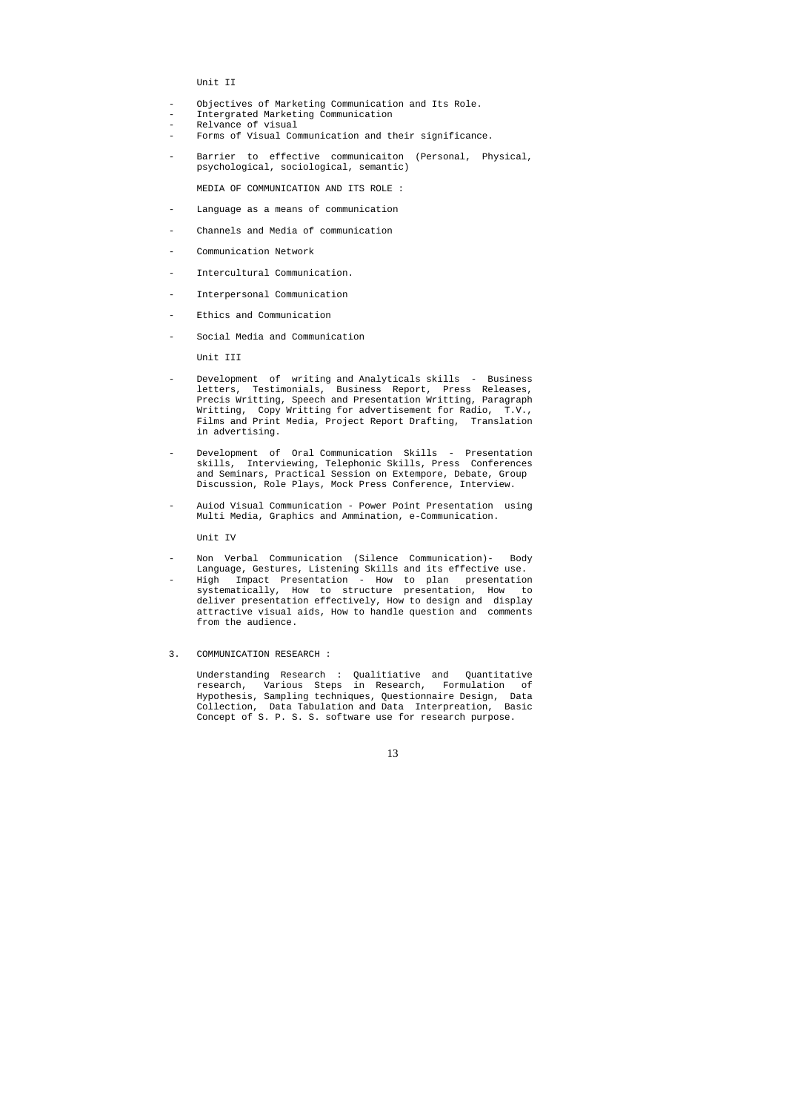Unit II

- Objectives of Marketing Communication and Its Role.
- Intergrated Marketing Communication
- Relvance of visual
- Forms of Visual Communication and their significance.
- Barrier to effective communicaiton (Personal, Physical, psychological, sociological, semantic)

- Language as a means of communication
- Channels and Media of communication
- Communication Network
- Intercultural Communication.
- Interpersonal Communication
- Ethics and Communication
- Social Media and Communication

MEDIA OF COMMUNICATION AND ITS ROLE :

Unit III

- Development of writing and Analyticals skills Business letters, Testimonials, Business Report, Press Releases, Precis Writting, Speech and Presentation Writting, Paragraph Writting, Copy Writting for advertisement for Radio, T.V., Films and Print Media, Project Report Drafting, Translation in advertising.
- Development of Oral Communication Skills Presentation skills, Interviewing, Telephonic Skills, Press Conferences and Seminars, Practical Session on Extempore, Debate, Group Discussion, Role Plays, Mock Press Conference, Interview.
- Auiod Visual Communication Power Point Presentation using Multi Media, Graphics and Ammination, e-Communication.

- Non Verbal Communication (Silence Communication)- Body Language, Gestures, Listening Skills and its effective use.
- High Impact Presentation How to plan presentation systematically, How to structure presentation, How to deliver presentation effectively, How to design and display attractive visual aids, How to handle question and comments from the audience.
- 3. COMMUNICATION RESEARCH :

Unit IV

 Understanding Research : Qualitiative and Quantitative research, Various Steps in Research, Formulation of Hypothesis, Sampling techniques, Questionnaire Design, Data Collection, Data Tabulation and Data Interpreation, Basic Concept of S. P. S. S. software use for research purpose.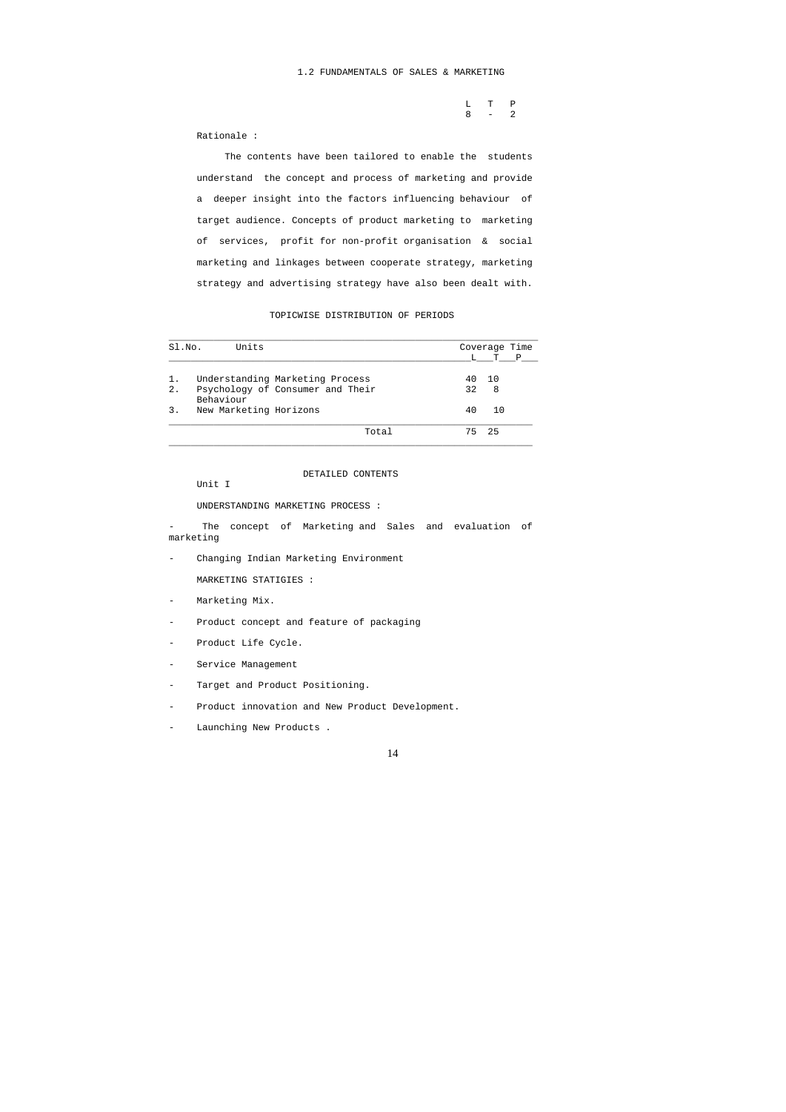|         | L T P |  |
|---------|-------|--|
| $8 - 2$ |       |  |

Rationale :

 The contents have been tailored to enable the students understand the concept and process of marketing and provide a deeper insight into the factors influencing behaviour of target audience. Concepts of product marketing to marketing of services, profit for non-profit organisation & social marketing and linkages between cooperate strategy, marketing strategy and advertising strategy have also been dealt with.

## TOPICWISE DISTRIBUTION OF PERIODS

The concept of Marketing and Sales and evaluation of marketing

- Product concept and feature of packaging
- Product Life Cycle.
- Service Management
- Target and Product Positioning.
- Product innovation and New Product Development.
- Launching New Products .

| SI.NO. | Units                                         |    | Coverage Time |              |
|--------|-----------------------------------------------|----|---------------|--------------|
|        |                                               |    | T             | $\mathbb{P}$ |
| 1.     | Understanding Marketing Process               | 40 | 10            |              |
| 2.     | Psychology of Consumer and Their<br>Behaviour | 32 | 8             |              |
| 3.     | New Marketing Horizons                        | 40 | 10            |              |
|        | Total                                         | 75 | 25            |              |

DETAILED CONTENTS

Unit I

UNDERSTANDING MARKETING PROCESS :

- Changing Indian Marketing Environment

MARKETING STATIGIES :

- Marketing Mix.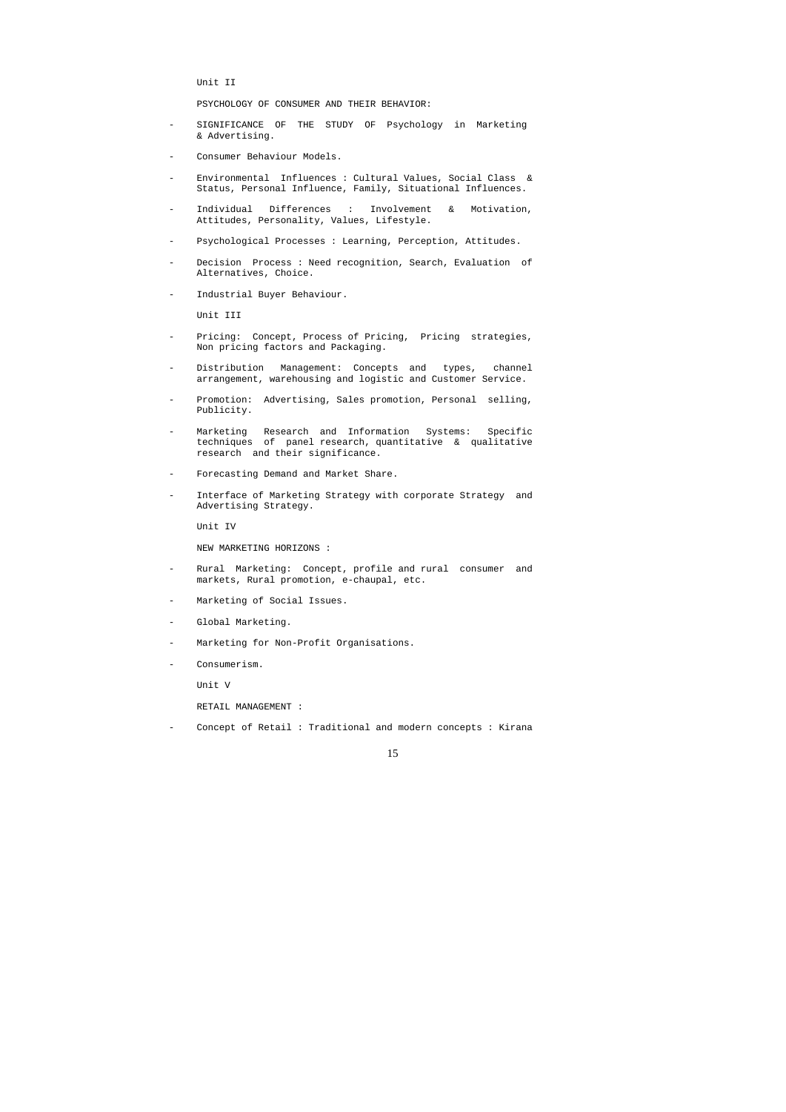Unit II

PSYCHOLOGY OF CONSUMER AND THEIR BEHAVIOR:

- SIGNIFICANCE OF THE STUDY OF Psychology in Marketing & Advertising.
- Consumer Behaviour Models.
- Environmental Influences : Cultural Values, Social Class & Status, Personal Influence, Family, Situational Influences.
- Individual Differences : Involvement & Motivation, Attitudes, Personality, Values, Lifestyle.
- Psychological Processes : Learning, Perception, Attitudes.
- Decision Process : Need recognition, Search, Evaluation of Alternatives, Choice.
- Industrial Buyer Behaviour.

Unit III

- Pricing: Concept, Process of Pricing, Pricing strategies, Non pricing factors and Packaging.
- Distribution Management: Concepts and types, channel arrangement, warehousing and logistic and Customer Service.
- Promotion: Advertising, Sales promotion, Personal selling, Publicity.
- Marketing Research and Information Systems: Specific techniques of panel research, quantitative & qualitative research and their significance.
- Forecasting Demand and Market Share.
- Interface of Marketing Strategy with corporate Strategy and Advertising Strategy.

- Rural Marketing: Concept, profile and rural consumer and markets, Rural promotion, e-chaupal, etc.
- Marketing of Social Issues.
- Global Marketing.
- Marketing for Non-Profit Organisations.
- Consumerism.

Unit IV

NEW MARKETING HORIZONS :

Unit V

RETAIL MANAGEMENT :

Concept of Retail : Traditional and modern concepts : Kirana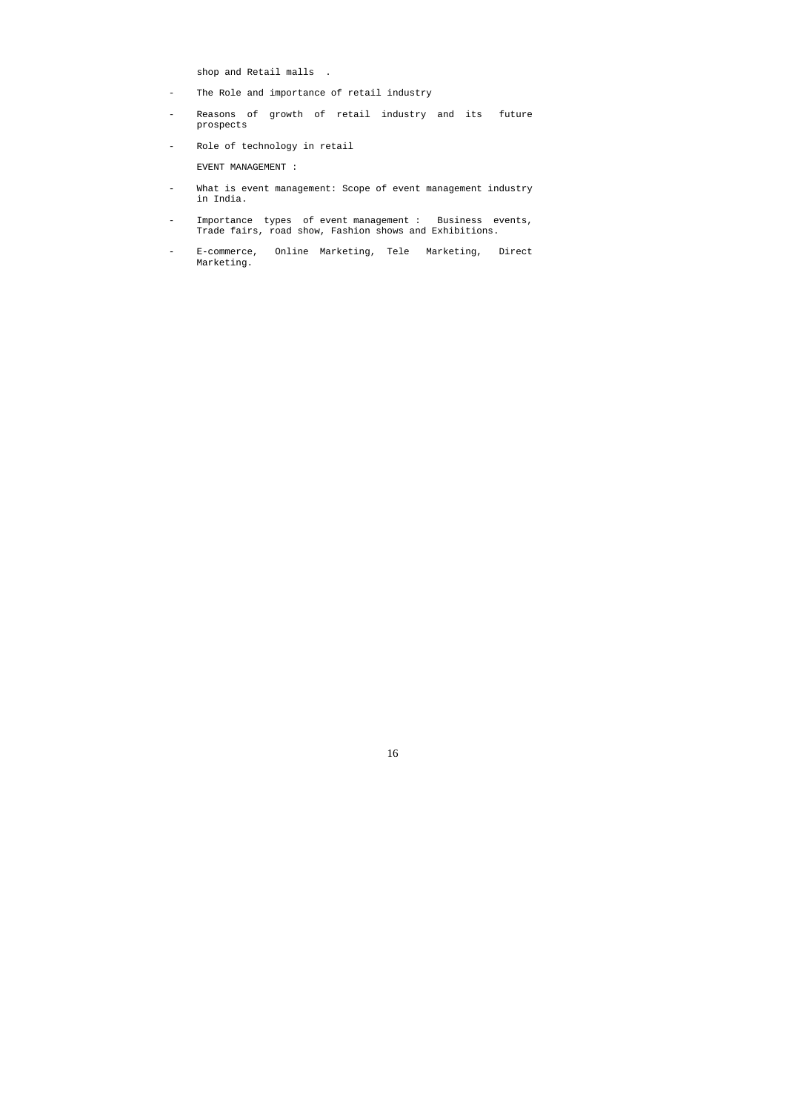shop and Retail malls .

- The Role and importance of retail industry
- Reasons of growth of retail industry and its future prospects
- Role of technology in retail

EVENT MANAGEMENT :

- What is event management: Scope of event management industry in India.
- Importance types of event management : Business events, Trade fairs, road show, Fashion shows and Exhibitions.
- E-commerce, Online Marketing, Tele Marketing, Direct Marketing.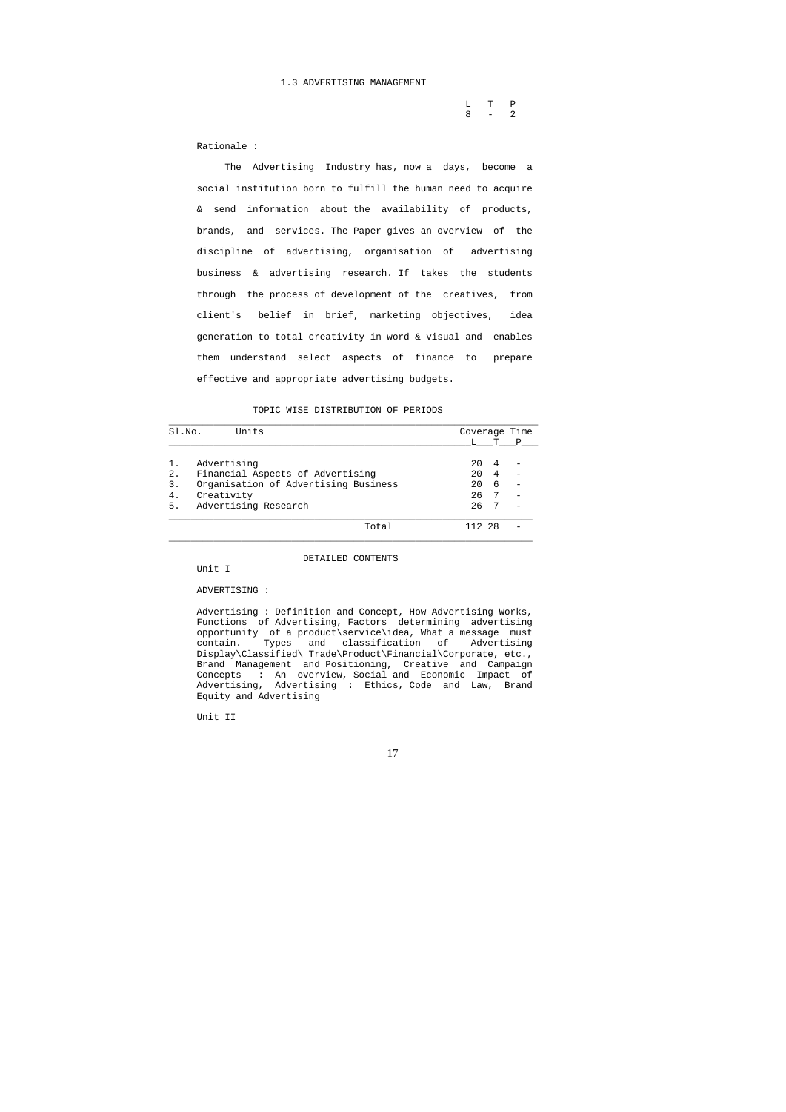### 1.3 ADVERTISING MANAGEMENT

|  | $L$ T P |  |
|--|---------|--|
|  | $8 - 2$ |  |

Rationale :

 The Advertising Industry has, now a days, become a social institution born to fulfill the human need to acquire & send information about the availability of products, brands, and services. The Paper gives an overview of the discipline of advertising, organisation of advertising business & advertising research. If takes the students through the process of development of the creatives, from client's belief in brief, marketing objectives, idea generation to total creativity in word & visual and enables them understand select aspects of finance to prepare effective and appropriate advertising budgets.

TOPIC WISE DISTRIBUTION OF PERIODS

| SI.NO. | Units                                |    |   | Coverage Time |
|--------|--------------------------------------|----|---|---------------|
|        |                                      |    | т | $\mathbf{P}$  |
| 1.     | Advertising                          | 20 |   |               |
| 2.     | Financial Aspects of Advertising     | 20 |   |               |
| 3.     | Organisation of Advertising Business | 20 | 6 |               |
| 4.     | Creativity                           | 26 |   |               |
| 5.     | Advertising Research                 | 26 |   |               |
|        | Total                                |    |   |               |

\_\_\_\_\_\_\_\_\_\_\_\_\_\_\_\_\_\_\_\_\_\_\_\_\_\_\_\_\_\_\_\_\_\_\_\_\_\_\_\_\_\_\_\_\_\_\_\_\_\_\_\_\_\_\_\_\_\_\_\_\_\_\_\_\_

DETAILED CONTENTS

Unit I

ADVERTISING :

 Advertising : Definition and Concept, How Advertising Works, Functions of Advertising, Factors determining advertising opportunity of a product\service\idea, What a message must contain. Types and classification of Advertising Display\Classified\ Trade\Product\Financial\Corporate, etc., Brand Management and Positioning, Creative and Campaign Concepts : An overview, Social and Economic Impact of Advertising, Advertising : Ethics, Code and Law, Brand Equity and Advertising

Unit II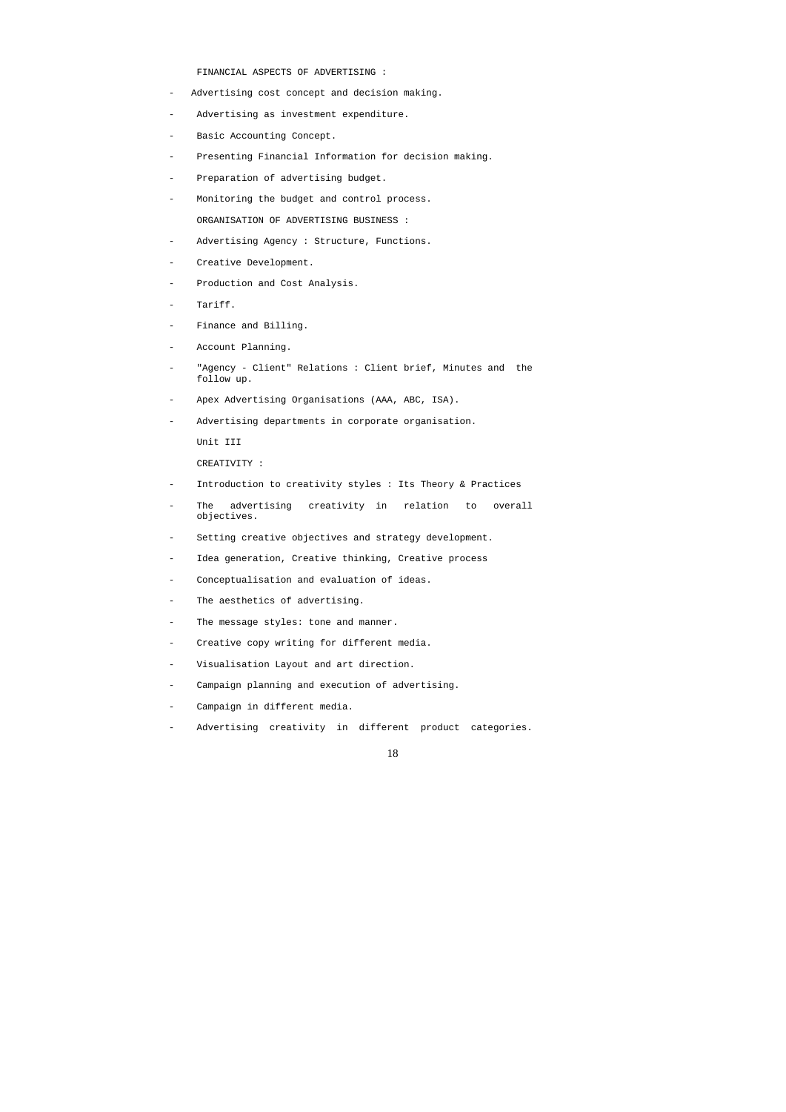FINANCIAL ASPECTS OF ADVERTISING :

- Advertising cost concept and decision making.
- Advertising as investment expenditure.
- Basic Accounting Concept.
- Presenting Financial Information for decision making.
- Preparation of advertising budget.
- Monitoring the budget and control process. ORGANISATION OF ADVERTISING BUSINESS :
- Advertising Agency : Structure, Functions.
- Creative Development.
- Production and Cost Analysis.
- Tariff.
- Finance and Billing.
- Account Planning.
- "Agency Client" Relations : Client brief, Minutes and the follow up.
- Apex Advertising Organisations (AAA, ABC, ISA).
- Advertising departments in corporate organisation.

Unit III

CREATIVITY :

- Introduction to creativity styles : Its Theory & Practices
- The advertising creativity in relation to overall objectives.
- Setting creative objectives and strategy development.
- Idea generation, Creative thinking, Creative process
- Conceptualisation and evaluation of ideas.
- The aesthetics of advertising.
- The message styles: tone and manner.
- Creative copy writing for different media.
- Visualisation Layout and art direction.
- Campaign planning and execution of advertising.
- Campaign in different media.
- Advertising creativity in different product categories.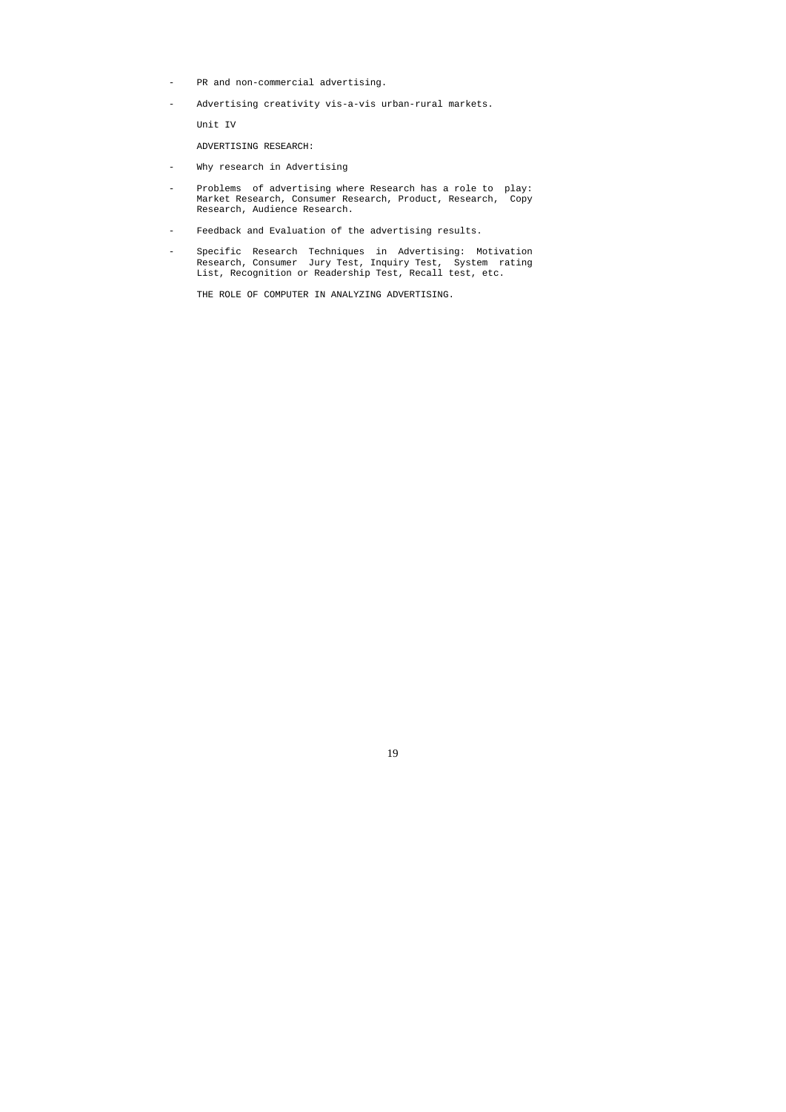- PR and non-commercial advertising.
- Advertising creativity vis-a-vis urban-rural markets.

Unit IV

ADVERTISING RESEARCH:

- Why research in Advertising
- Problems of advertising where Research has a role to play: Market Research, Consumer Research, Product, Research, Copy Research, Audience Research.
- Feedback and Evaluation of the advertising results.
- Specific Research Techniques in Advertising: Motivation Research, Consumer Jury Test, Inquiry Test, System rating List, Recognition or Readership Test, Recall test, etc.

THE ROLE OF COMPUTER IN ANALYZING ADVERTISING.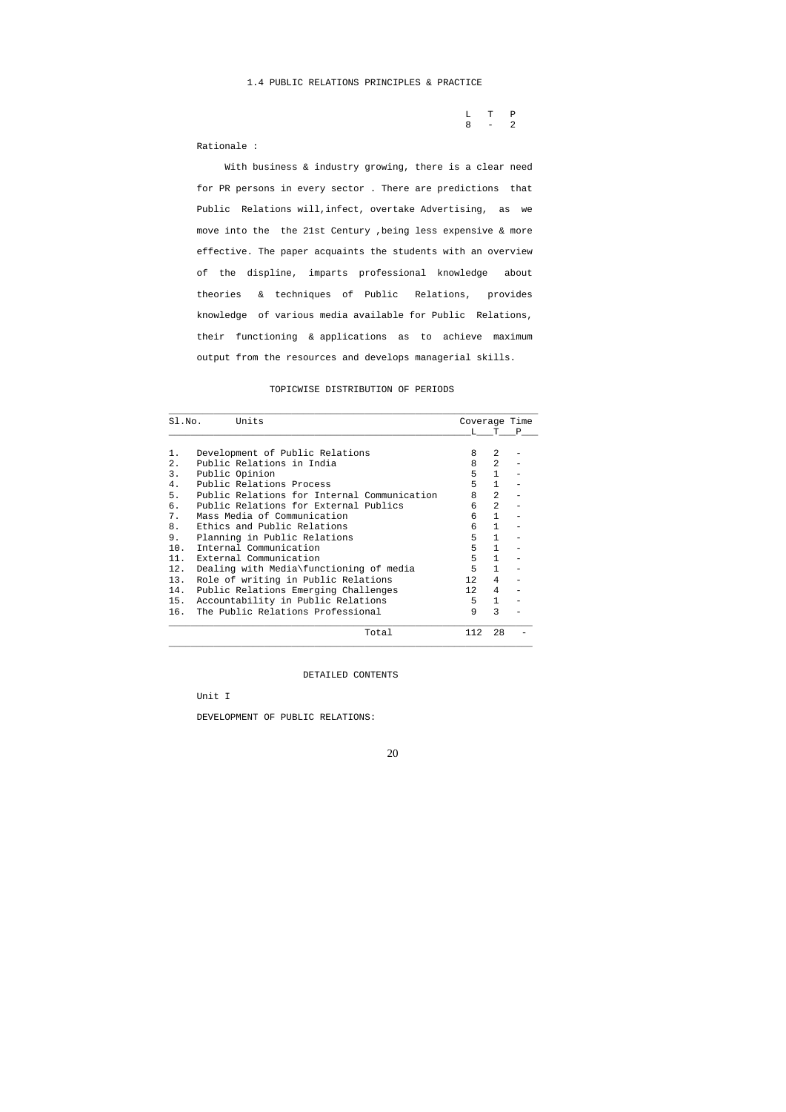L T P  $8 - 2$ 

Rationale :

 With business & industry growing, there is a clear need for PR persons in every sector . There are predictions that Public Relations will,infect, overtake Advertising, as we move into the the 21st Century ,being less expensive & more effective. The paper acquaints the students with an overview of the displine, imparts professional knowledge about theories & techniques of Public Relations, provides knowledge of various media available for Public Relations, their functioning & applications as to achieve maximum output from the resources and develops managerial skills.

## TOPICWISE DISTRIBUTION OF PERIODS

| Sl.No. | Units                                       | Coverage Time   |                |  |
|--------|---------------------------------------------|-----------------|----------------|--|
|        |                                             | T.              | T P            |  |
| 1.     | Development of Public Relations             | 8               | $\mathfrak{D}$ |  |
| 2.     | Public Relations in India                   | 8               | $\mathfrak{D}$ |  |
| 3.     | Public Opinion                              | 5               | $\mathbf{1}$   |  |
| 4.     | Public Relations Process                    | 5               | $\mathbf{1}$   |  |
| 5.     | Public Relations for Internal Communication | 8               | 2              |  |
| б.     | Public Relations for External Publics       | 6               | $\mathfrak{D}$ |  |
| 7.     | Mass Media of Communication                 | 6               | $\mathbf{1}$   |  |
| 8.     | Ethics and Public Relations                 | 6               | $\mathbf{1}$   |  |
| 9.     | Planning in Public Relations                | 5               | $\mathbf{1}$   |  |
| 10.    | Internal Communication                      | 5               | $\mathbf{1}$   |  |
| 11.    | External Communication                      | 5               | $\mathbf{1}$   |  |
| 12.    | Dealing with Media\functioning of media     | 5               | $\mathbf{1}$   |  |
| 13.    | Role of writing in Public Relations         | 12 <sup>°</sup> | 4              |  |
| 14.    | Public Relations Emerging Challenges        | 12 <sup>2</sup> | 4              |  |
| 15.    | Accountability in Public Relations          | 5               | $\mathbf{1}$   |  |
| 16.    | The Public Relations Professional           | 9               | $\mathcal{E}$  |  |
|        | Total                                       | 112.            | 28             |  |

DETAILED CONTENTS

Unit I

DEVELOPMENT OF PUBLIC RELATIONS: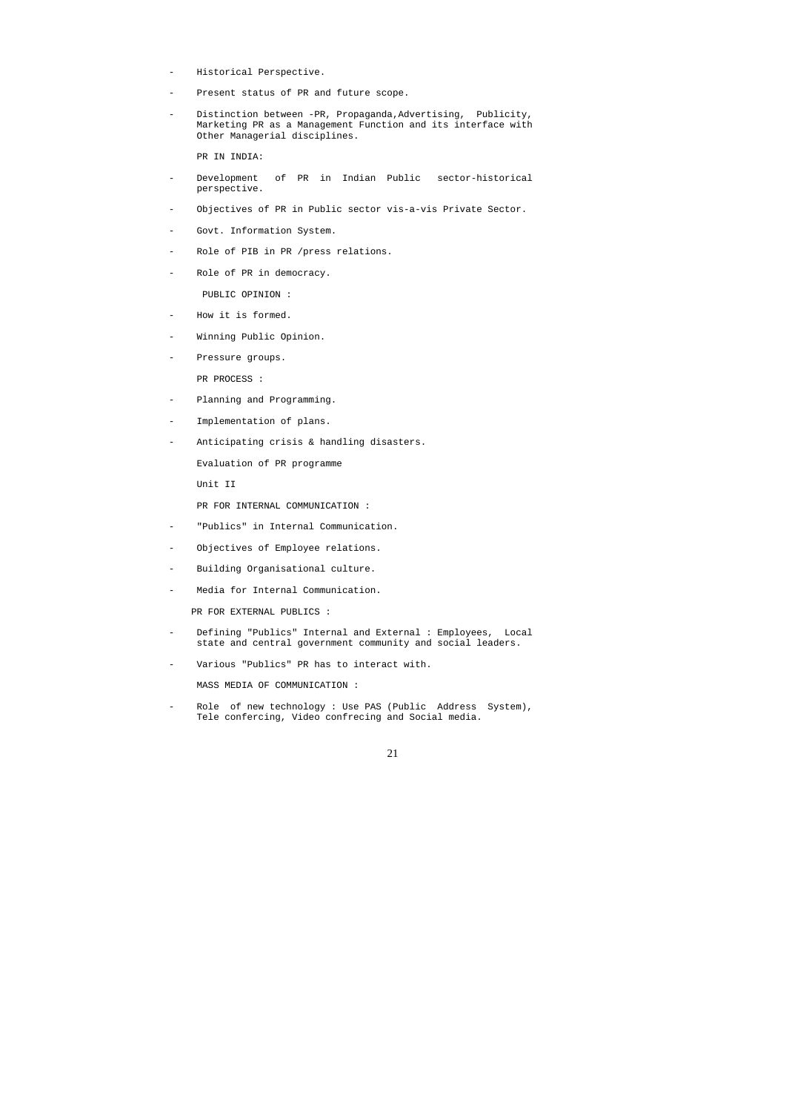- Historical Perspective.
- Present status of PR and future scope.
- Distinction between -PR, Propaganda, Advertising, Publicity, Marketing PR as a Management Function and its interface with Other Managerial disciplines.

- Development of PR in Indian Public sector-historical perspective.
- Objectives of PR in Public sector vis-a-vis Private Sector.
- Govt. Information System.
- Role of PIB in PR /press relations.
- Role of PR in democracy.

PR IN INDIA:

- How it is formed.
- Winning Public Opinion.
- Pressure groups. PR PROCESS :
- Planning and Programming.
- Implementation of plans.
- Anticipating crisis & handling disasters.

PUBLIC OPINION :

Role of new technology : Use PAS (Public Address System), Tele confercing, Video confrecing and Social media.

Evaluation of PR programme

Unit II

PR FOR INTERNAL COMMUNICATION :

- "Publics" in Internal Communication.
- Objectives of Employee relations.
- Building Organisational culture.
- Media for Internal Communication.

PR FOR EXTERNAL PUBLICS :

- Defining "Publics" Internal and External : Employees, Local state and central government community and social leaders.
- Various "Publics" PR has to interact with.

MASS MEDIA OF COMMUNICATION :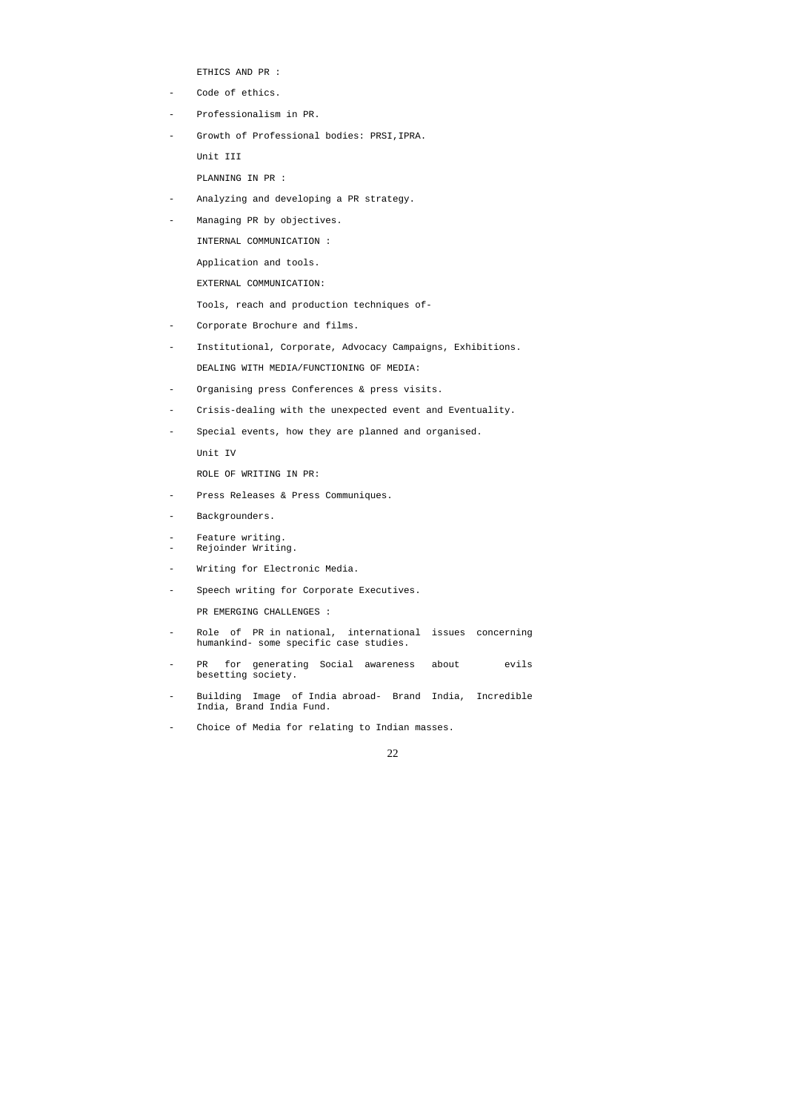ETHICS AND PR :

- Code of ethics.
- Professionalism in PR.
- Growth of Professional bodies: PRSI,IPRA.

Unit III

PLANNING IN PR :

- Analyzing and developing a PR strategy.
- Managing PR by objectives.

INTERNAL COMMUNICATION :

Application and tools.

EXTERNAL COMMUNICATION:

Tools, reach and production techniques of-

- Corporate Brochure and films.
- Institutional, Corporate, Advocacy Campaigns, Exhibitions. DEALING WITH MEDIA/FUNCTIONING OF MEDIA:
- Organising press Conferences & press visits.
- Crisis-dealing with the unexpected event and Eventuality.
- Special events, how they are planned and organised.
	- Unit IV

ROLE OF WRITING IN PR:

- Press Releases & Press Communiques.
- Backgrounders.
- Feature writing.
- Rejoinder Writing.
- Writing for Electronic Media.
- Speech writing for Corporate Executives.

PR EMERGING CHALLENGES :

- Role of PR in national, international issues concerning humankind- some specific case studies.
- PR for generating Social awareness about ovils besetting society.
- Building Image of India abroad- Brand India, Incredible India, Brand India Fund.
- Choice of Media for relating to Indian masses.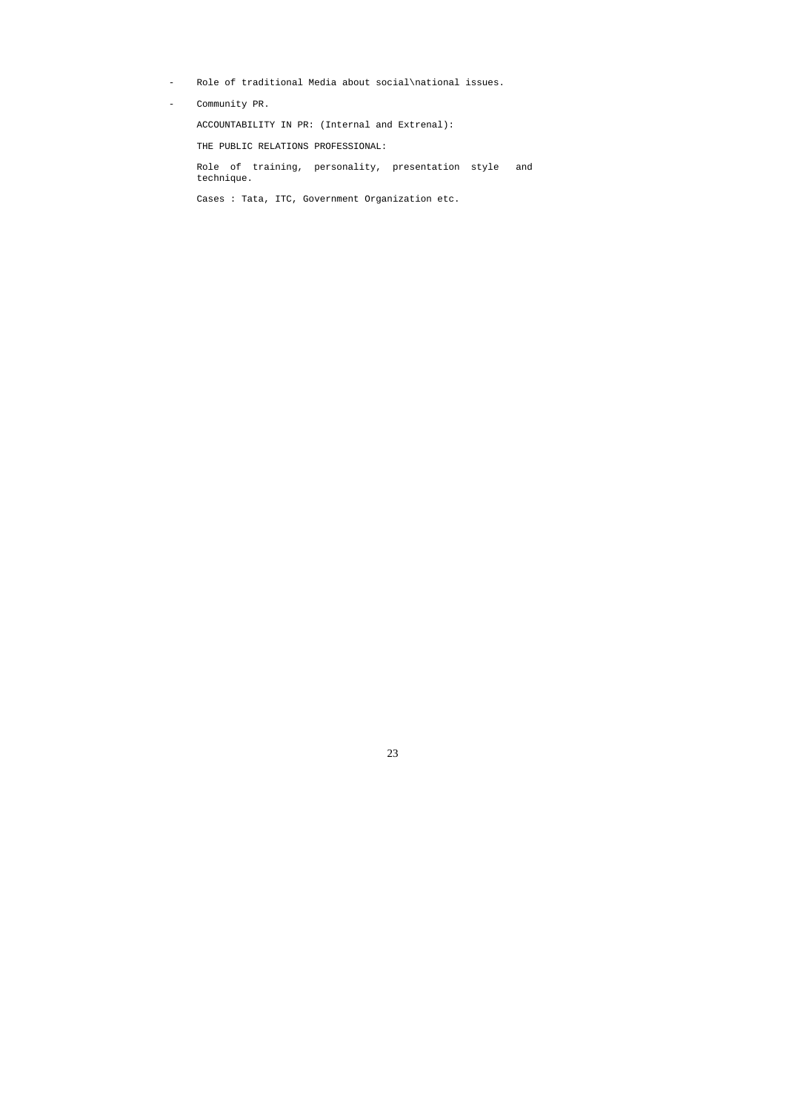- Role of traditional Media about social\national issues.
- Community PR.

ACCOUNTABILITY IN PR: (Internal and Extrenal):

THE PUBLIC RELATIONS PROFESSIONAL:

 Role of training, personality, presentation style and technique.

Cases : Tata, ITC, Government Organization etc.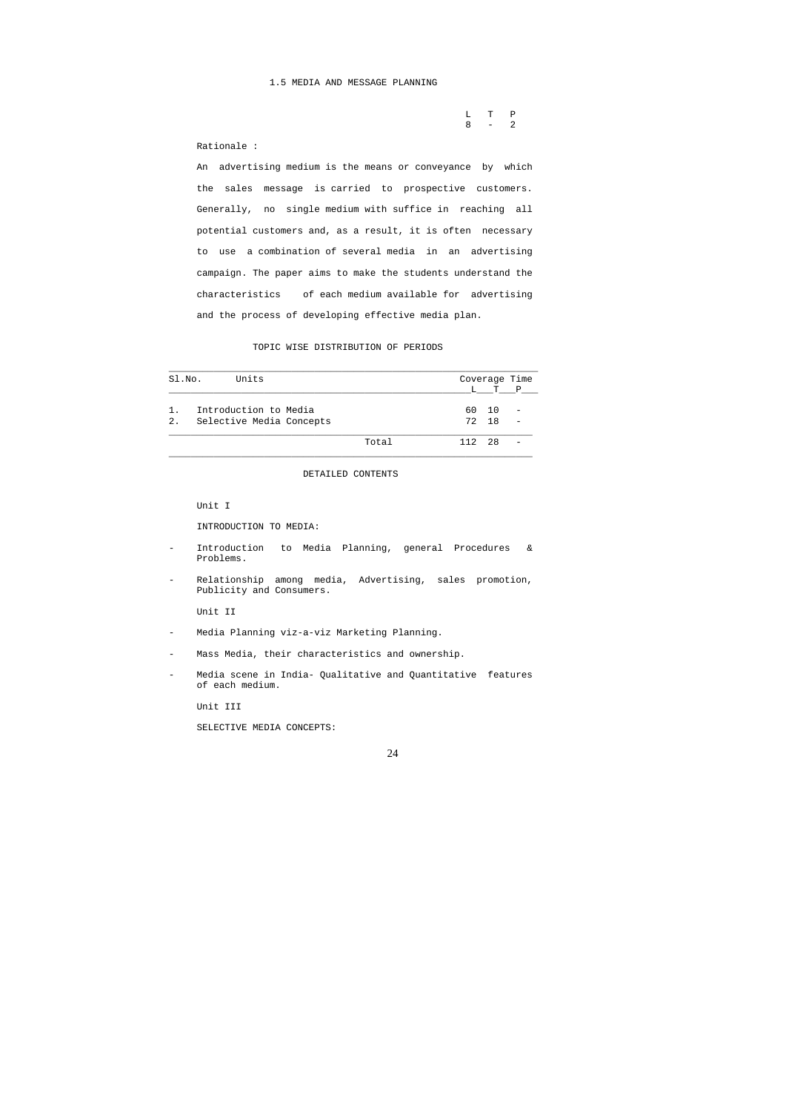L T P  $8 - 2$ 

## 1.5 MEDIA AND MESSAGE PLANNING

## Rationale :

 An advertising medium is the means or conveyance by which the sales message is carried to prospective customers. Generally, no single medium with suffice in reaching all potential customers and, as a result, it is often necessary to use a combination of several media in an advertising campaign. The paper aims to make the students understand the characteristics of each medium available for advertising and the process of developing effective media plan.

## TOPIC WISE DISTRIBUTION OF PERIODS

- Introduction to Media Planning, general Procedures & Problems.
- Relationship among media, Advertising, sales promotion, Publicity and Consumers.

| Sl.No. | Units                    |       |     |    | Coverage Time |
|--------|--------------------------|-------|-----|----|---------------|
|        |                          |       | L   |    | T P           |
| 1.     | Introduction to Media    |       | 60  | 10 |               |
| 2.     | Selective Media Concepts |       | 72  | 18 |               |
|        |                          | Total | 112 | 28 |               |

DETAILED CONTENTS

Unit I

INTRODUCTION TO MEDIA:

Unit II

- Media Planning viz-a-viz Marketing Planning.
- Mass Media, their characteristics and ownership.
- Media scene in India- Qualitative and Quantitative features of each medium.

Unit III

SELECTIVE MEDIA CONCEPTS: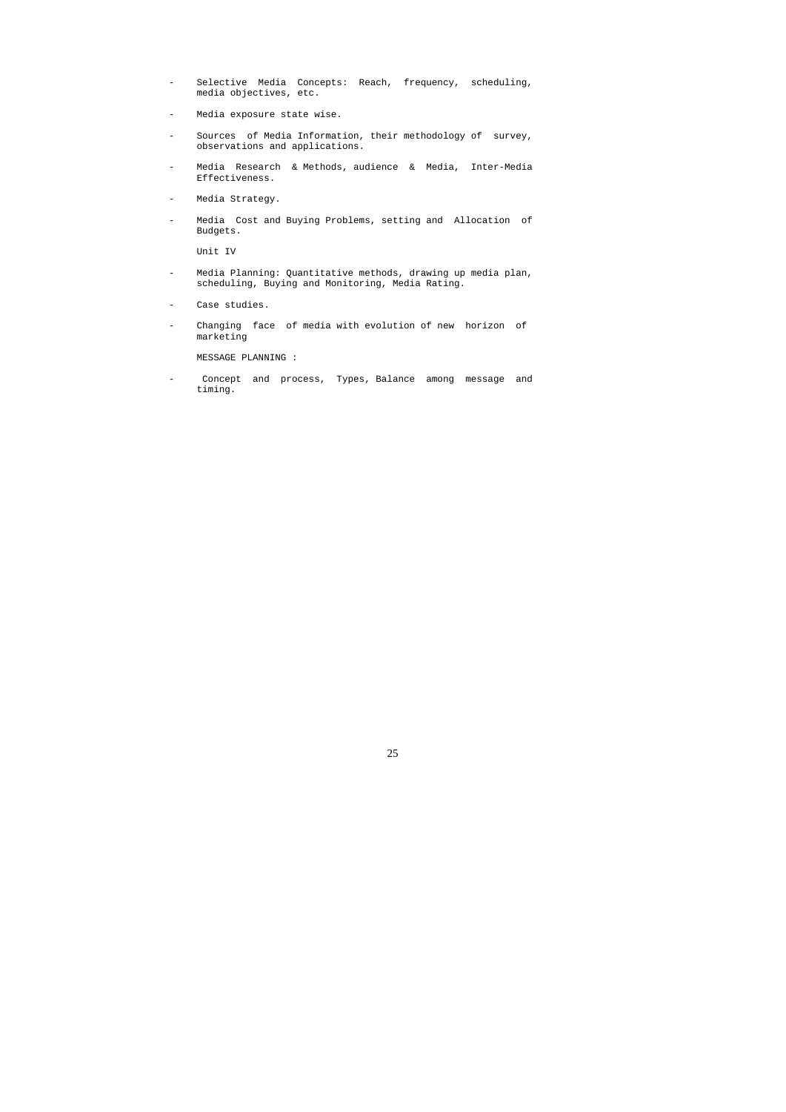- Selective Media Concepts: Reach, frequency, scheduling, media objectives, etc.
- Media exposure state wise.
- Sources of Media Information, their methodology of survey, observations and applications.
- Media Research & Methods, audience & Media, Inter-Media Effectiveness.
- Media Strategy.
- Media Cost and Buying Problems, setting and Allocation of Budgets.

Unit IV

- Media Planning: Quantitative methods, drawing up media plan, scheduling, Buying and Monitoring, Media Rating.
- Case studies.
- Changing face of media with evolution of new horizon of marketing

MESSAGE PLANNING :

- Concept and process, Types, Balance among message and timing.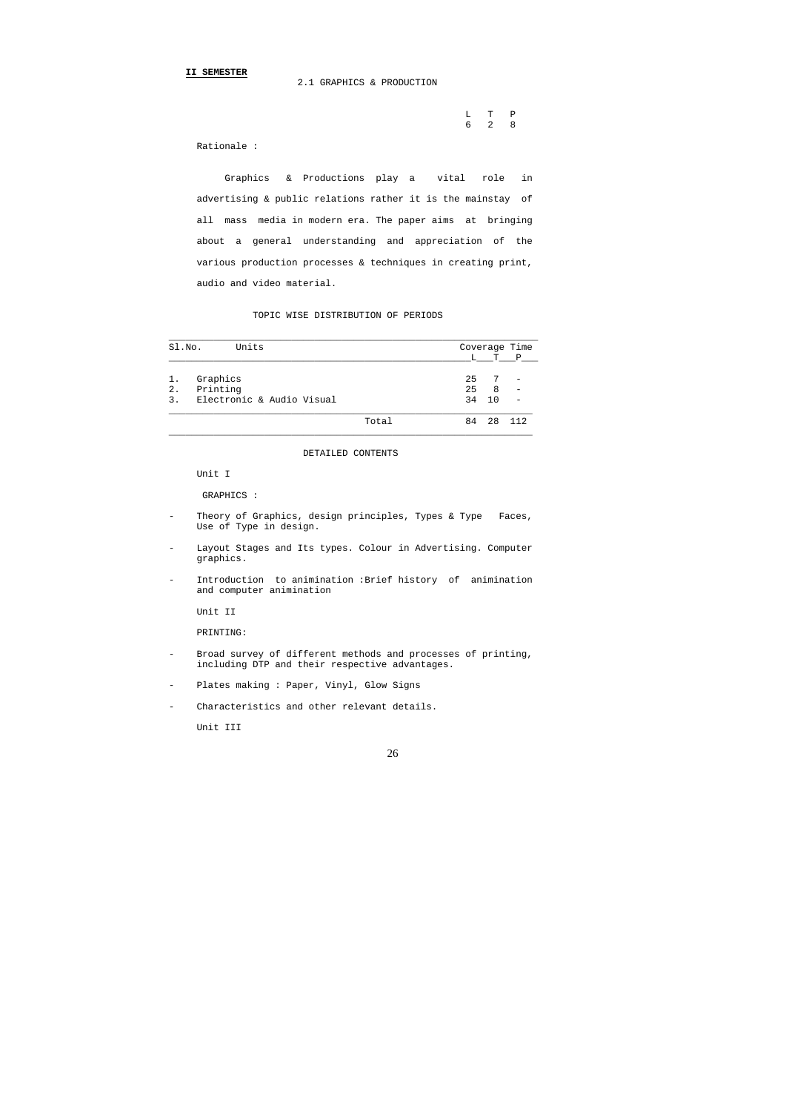2.1 GRAPHICS & PRODUCTION

 L T P 6 2 8

Rationale :

 Graphics & Productions play a vital role in advertising & public relations rather it is the mainstay of all mass media in modern era. The paper aims at bringing about a general understanding and appreciation of the various production processes & techniques in creating print, audio and video material.

TOPIC WISE DISTRIBUTION OF PERIODS

- Theory of Graphics, design principles, Types & Type Faces, Use of Type in design.
- Layout Stages and Its types. Colour in Advertising. Computer graphics.
- Introduction to animination : Brief history of animination and computer animination

- Broad survey of different methods and processes of printing, including DTP and their respective advantages.
- Plates making : Paper, Vinyl, Glow Signs
- Characteristics and other relevant details.

| SI.NO. | Units                     |       |    |    | Coverage Time            |
|--------|---------------------------|-------|----|----|--------------------------|
|        |                           |       | L  |    | T P                      |
| 1.     | Graphics                  |       | 25 |    |                          |
| $2$ .  | Printing                  |       | 25 | 8  | $\overline{\phantom{0}}$ |
| 3.     | Electronic & Audio Visual |       | 34 | 10 |                          |
|        |                           | Total | 84 | 28 | 112                      |

\_\_\_\_\_\_\_\_\_\_\_\_\_\_\_\_\_\_\_\_\_\_\_\_\_\_\_\_\_\_\_\_\_\_\_\_\_\_\_\_\_\_\_\_\_\_\_\_\_\_\_\_\_\_\_\_\_\_\_\_\_\_\_\_\_

DETAILED CONTENTS

Unit I

GRAPHICS :

Unit II

PRINTING:

Unit III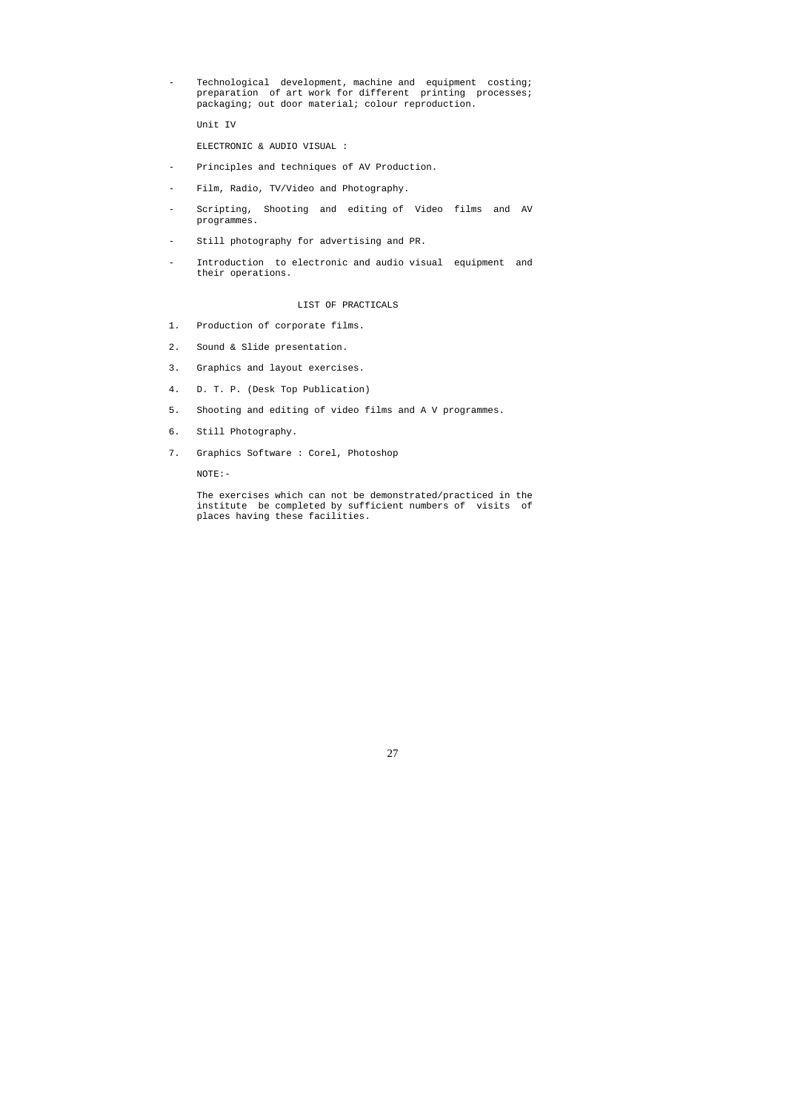- Technological development, machine and equipment costing; preparation of art work for different printing processes; packaging; out door material; colour reproduction.

Unit IV

ELECTRONIC & AUDIO VISUAL :

- Principles and techniques of AV Production.
- Film, Radio, TV/Video and Photography.
- Scripting, Shooting and editing of Video films and AV programmes.
- Still photography for advertising and PR.
- Introduction to electronic and audio visual equipment and their operations.

#### LIST OF PRACTICALS

- 1. Production of corporate films.
- 2. Sound & Slide presentation.
- 3. Graphics and layout exercises.
- 4. D. T. P. (Desk Top Publication)
- 5. Shooting and editing of video films and A V programmes.
- 6. Still Photography.
- 7. Graphics Software : Corel, Photoshop

NOTE:-

 The exercises which can not be demonstrated/practiced in the institute be completed by sufficient numbers of visits of places having these facilities.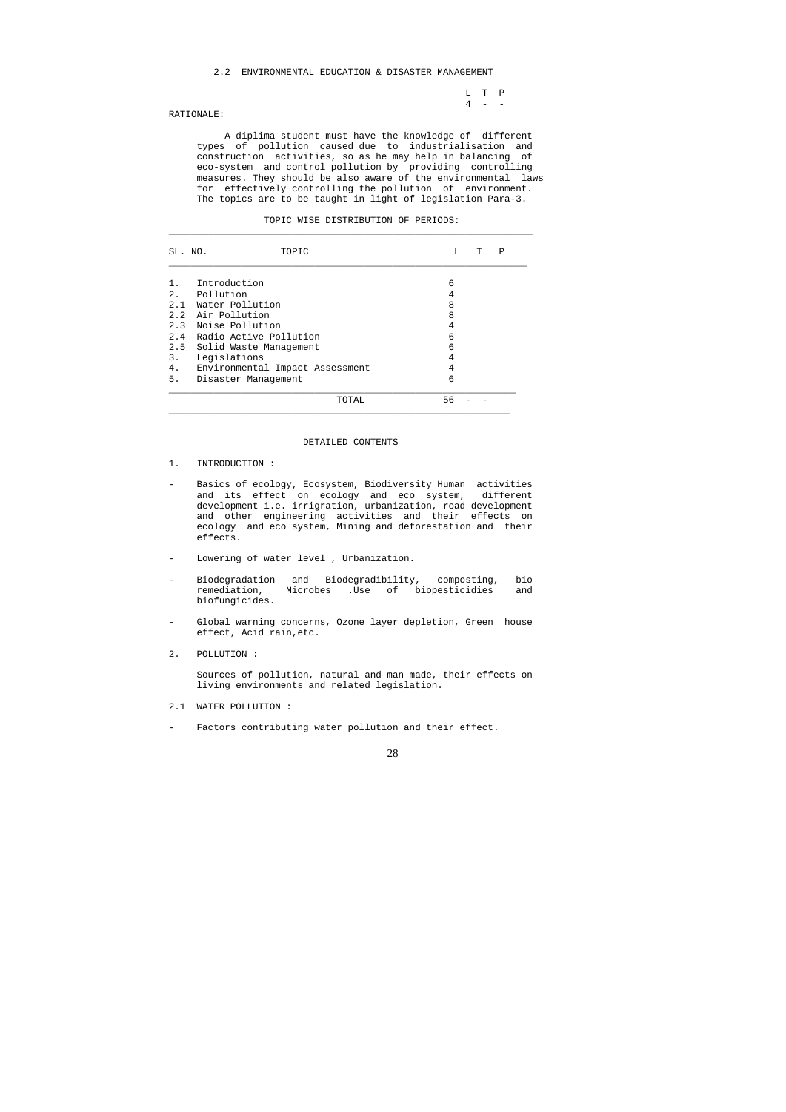L T P  $4 - -$ 

### 2.2 ENVIRONMENTAL EDUCATION & DISASTER MANAGEMENT

### RATIONALE:

 A diplima student must have the knowledge of different types of pollution caused due to industrialisation and construction activities, so as he may help in balancing of eco-system and control pollution by providing controlling measures. They should be also aware of the environmental laws for effectively controlling the pollution of environment. The topics are to be taught in light of legislation Para-3.

| MOMTA<br>ТлT | הדר | STRIBITION<br>້ີ | <b>OF</b><br>ັ | די הדר<br>. טשע<br>----- |
|--------------|-----|------------------|----------------|--------------------------|
|              |     |                  |                |                          |

| SL. NO. | TOPIC                           | Ρ<br>L<br>T |  |
|---------|---------------------------------|-------------|--|
|         | Introduction                    | 6           |  |
|         | 2. Pollution                    | 4           |  |
| 2.1     | Water Pollution                 | 8           |  |
|         | 2.2 Air Pollution               | 8           |  |
|         | 2.3 Noise Pollution             | 4           |  |
|         | 2.4 Radio Active Pollution      | 6           |  |
| 2.5     | Solid Waste Management          | 6           |  |
| 3.      | Legislations                    | 4           |  |
| 4.      | Environmental Impact Assessment | 4           |  |
| 5.      | Disaster Management             | 6           |  |
|         | TOTAL                           | 56          |  |

- 2.1 WATER POLLUTION :
- Factors contributing water pollution and their effect.

#### DETAILED CONTENTS

- 1. INTRODUCTION :
- Basics of ecology, Ecosystem, Biodiversity Human activities and its effect on ecology and eco system, different development i.e. irrigration, urbanization, road development and other engineering activities and their effects on ecology and eco system, Mining and deforestation and their effects.
- Lowering of water level , Urbanization.
- Biodegradation and Biodegradibility, composting, bio remediation, Microbes .Use of biopesticidies and biofungicides.
- Global warning concerns, Ozone layer depletion, Green house effect, Acid rain,etc.
- 2. POLLUTION :

 Sources of pollution, natural and man made, their effects on living environments and related legislation.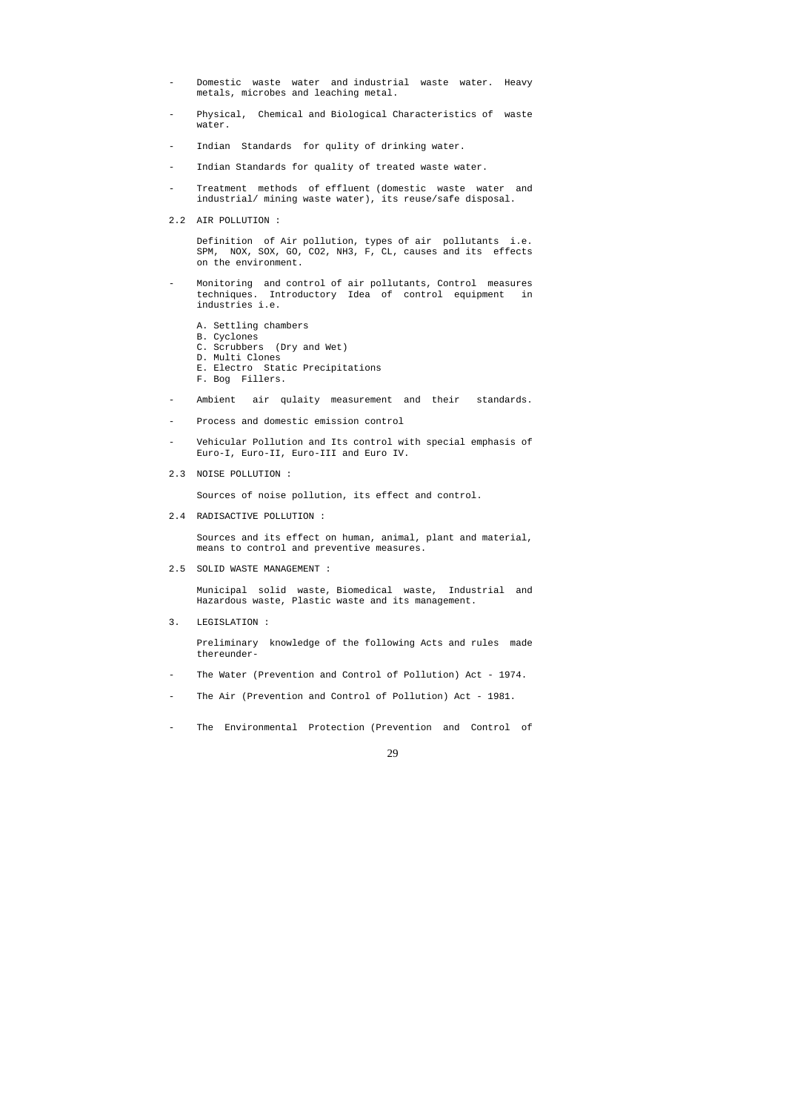- Domestic waste water and industrial waste water. Heavy metals, microbes and leaching metal.
- Physical, Chemical and Biological Characteristics of waste water.
- Indian Standards for qulity of drinking water.
- Indian Standards for quality of treated waste water.
- Treatment methods of effluent (domestic waste water and industrial/ mining waste water), its reuse/safe disposal.
- 2.2 AIR POLLUTION :

 Definition of Air pollution, types of air pollutants i.e. SPM, NOX, SOX, GO, CO2, NH3, F, CL, causes and its effects on the environment.

- Monitoring and control of air pollutants, Control measures techniques. Introductory Idea of control equipment in industries i.e.
	- A. Settling chambers
	- B. Cyclones
	- C. Scrubbers (Dry and Wet)
	- D. Multi Clones
	- E. Electro Static Precipitations
	- F. Bog Fillers.
- Ambient air qulaity measurement and their standards.
- Process and domestic emission control
- Vehicular Pollution and Its control with special emphasis of Euro-I, Euro-II, Euro-III and Euro IV.
- 2.3 NOISE POLLUTION :

Sources of noise pollution, its effect and control.

2.4 RADISACTIVE POLLUTION :

 Sources and its effect on human, animal, plant and material, means to control and preventive measures.

2.5 SOLID WASTE MANAGEMENT :

 Municipal solid waste, Biomedical waste, Industrial and Hazardous waste, Plastic waste and its management.

3. LEGISLATION :

 Preliminary knowledge of the following Acts and rules made thereunder-

- The Water (Prevention and Control of Pollution) Act 1974.
- The Air (Prevention and Control of Pollution) Act 1981.
- The Environmental Protection (Prevention and Control of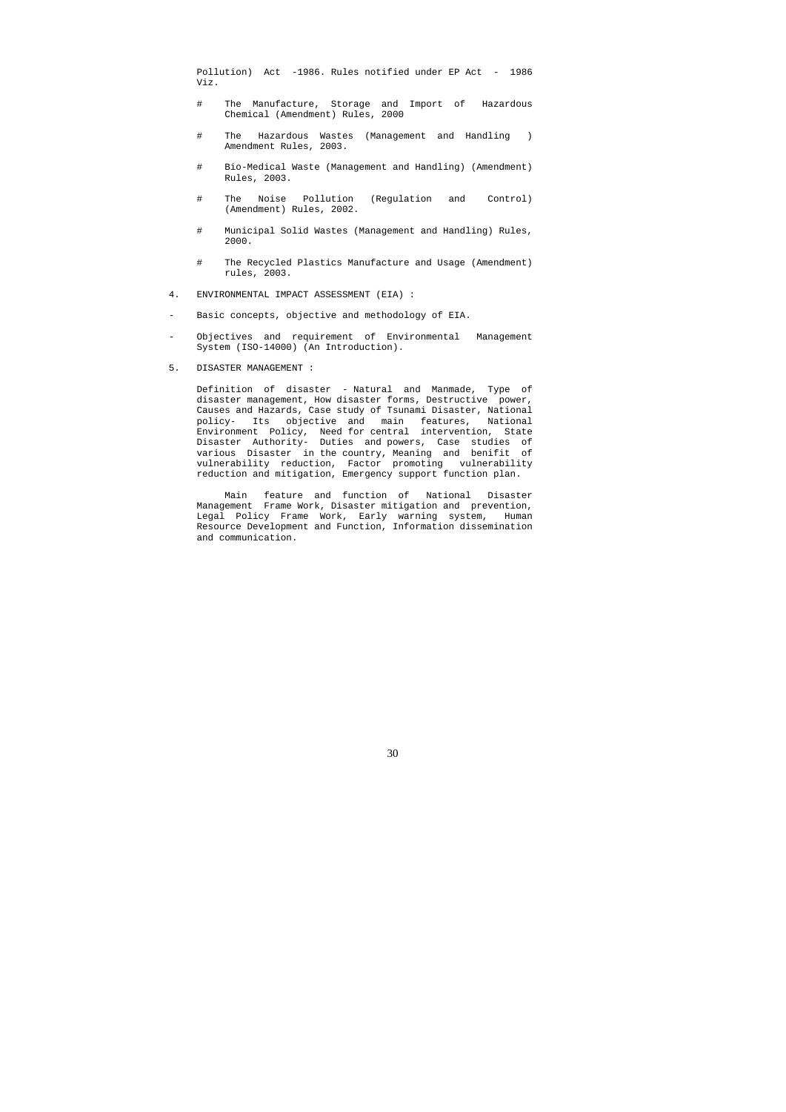Pollution) Act -1986. Rules notified under EP Act - 1986 Viz.

- # The Manufacture, Storage and Import of Hazardous Chemical (Amendment) Rules, 2000
- # The Hazardous Wastes (Management and Handling ) Amendment Rules, 2003.
- # Bio-Medical Waste (Management and Handling) (Amendment) Rules, 2003.
- # The Noise Pollution (Regulation and Control) (Amendment) Rules, 2002.
- # Municipal Solid Wastes (Management and Handling) Rules, 2000.
- # The Recycled Plastics Manufacture and Usage (Amendment) rules, 2003.
- 4. ENVIRONMENTAL IMPACT ASSESSMENT (EIA) :
- Basic concepts, objective and methodology of EIA.
- Objectives and requirement of Environmental Management System (ISO-14000) (An Introduction).

## 5. DISASTER MANAGEMENT :

 Definition of disaster - Natural and Manmade, Type of disaster management, How disaster forms, Destructive power, Causes and Hazards, Case study of Tsunami Disaster, National policy- Its objective and main features, National Environment Policy, Need for central intervention, State Disaster Authority- Duties and powers, Case studies of various Disaster in the country, Meaning and benifit of vulnerability reduction, Factor promoting vulnerability reduction and mitigation, Emergency support function plan.

 Main feature and function of National Disaster Management Frame Work, Disaster mitigation and prevention, Legal Policy Frame Work, Early warning system, Human Resource Development and Function, Information dissemination and communication.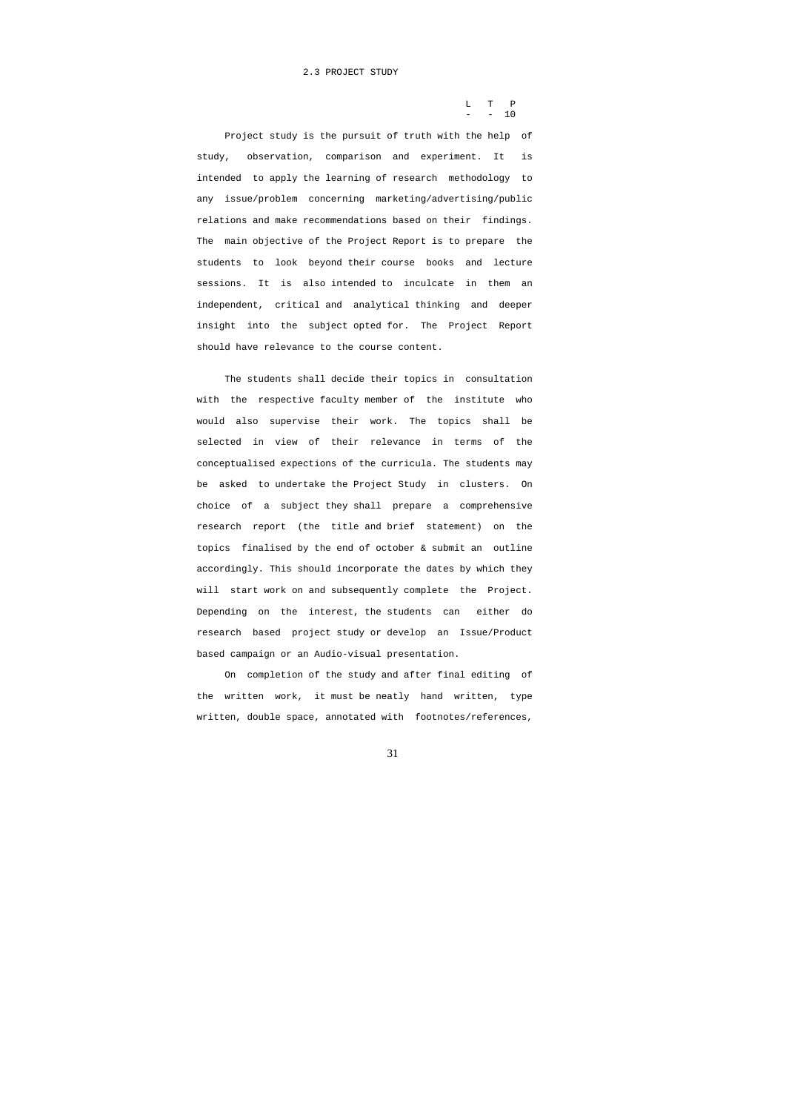L T P  $-$  - 10

### 2.3 PROJECT STUDY

 Project study is the pursuit of truth with the help of study, observation, comparison and experiment. It is intended to apply the learning of research methodology to any issue/problem concerning marketing/advertising/public relations and make recommendations based on their findings. The main objective of the Project Report is to prepare the students to look beyond their course books and lecture sessions. It is also intended to inculcate in them an independent, critical and analytical thinking and deeper insight into the subject opted for. The Project Report should have relevance to the course content.

 The students shall decide their topics in consultation with the respective faculty member of the institute who would also supervise their work. The topics shall be selected in view of their relevance in terms of the conceptualised expections of the curricula. The students may be asked to undertake the Project Study in clusters. On choice of a subject they shall prepare a comprehensive research report (the title and brief statement) on the topics finalised by the end of october & submit an outline accordingly. This should incorporate the dates by which they will start work on and subsequently complete the Project. Depending on the interest, the students can either do research based project study or develop an Issue/Product based campaign or an Audio-visual presentation.

 On completion of the study and after final editing of the written work, it must be neatly hand written, type written, double space, annotated with footnotes/references,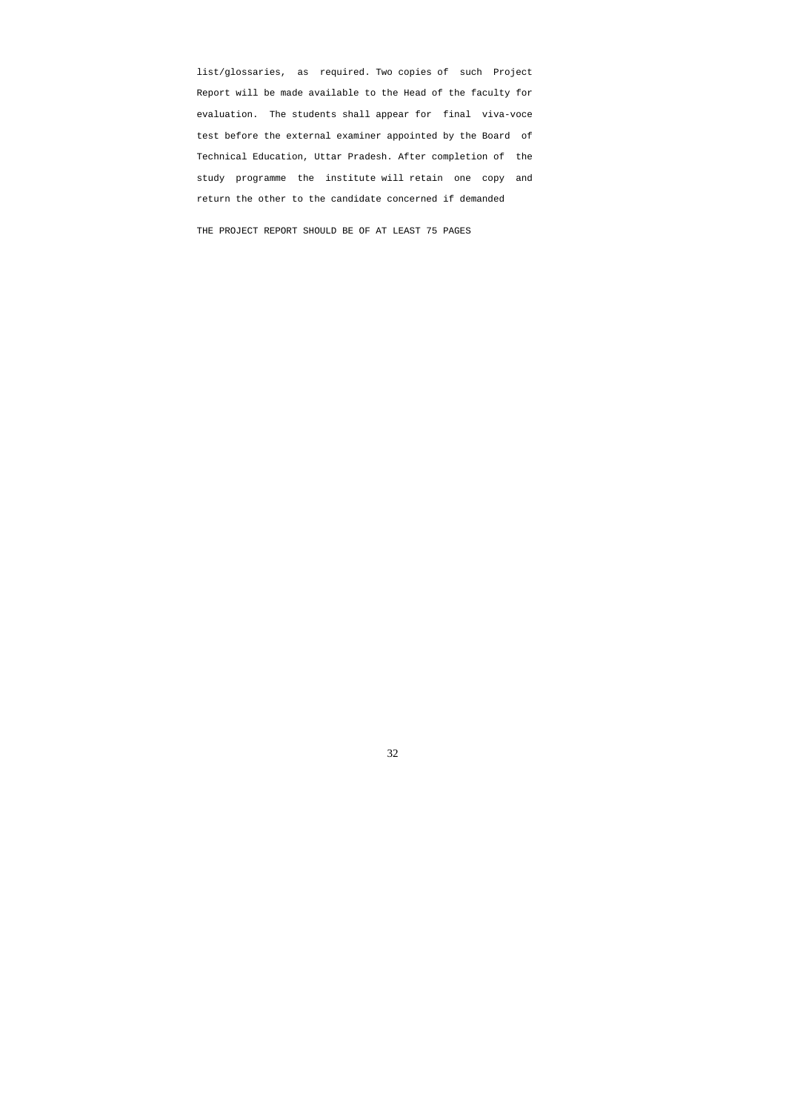list/glossaries, as required. Two copies of such Project Report will be made available to the Head of the faculty for evaluation. The students shall appear for final viva-voce test before the external examiner appointed by the Board of Technical Education, Uttar Pradesh. After completion of the study programme the institute will retain one copy and return the other to the candidate concerned if demanded

THE PROJECT REPORT SHOULD BE OF AT LEAST 75 PAGES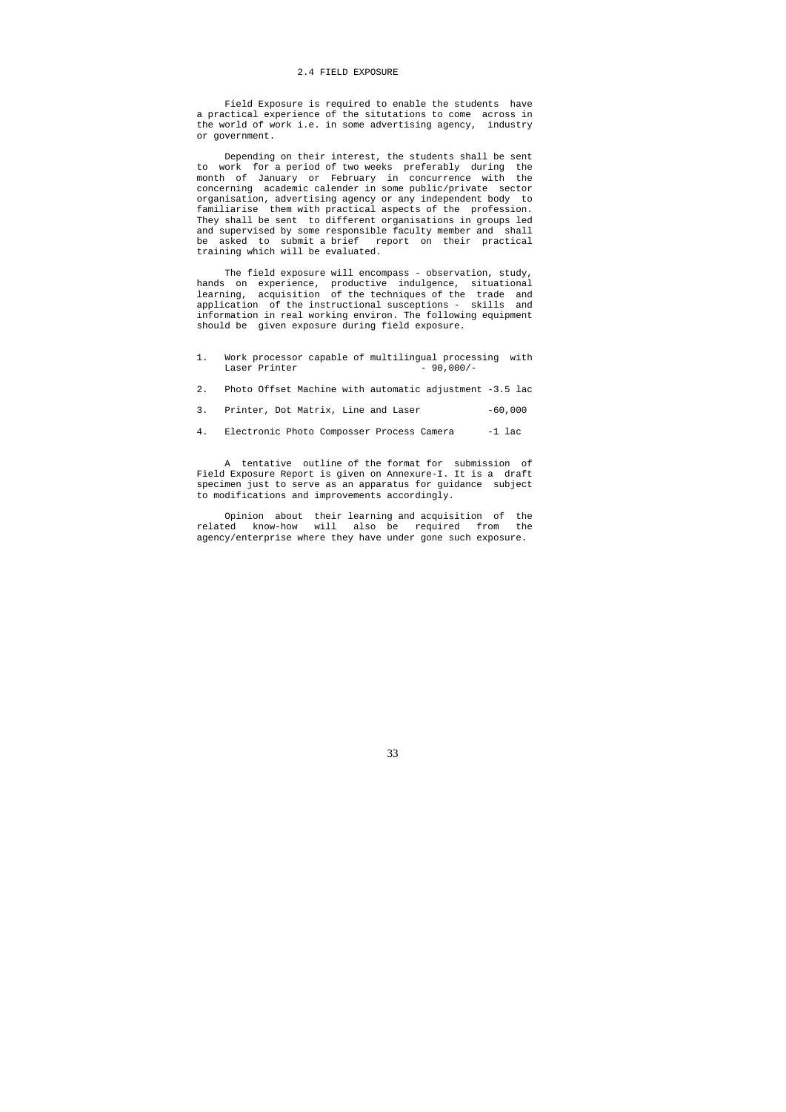### 2.4 FIELD EXPOSURE

 Field Exposure is required to enable the students have a practical experience of the situtations to come across in the world of work i.e. in some advertising agency, industry or government.

 Depending on their interest, the students shall be sent to work for a period of two weeks preferably during the month of January or February in concurrence with the concerning academic calender in some public/private sector organisation, advertising agency or any independent body to familiarise them with practical aspects of the profession. They shall be sent to different organisations in groups led and supervised by some responsible faculty member and shall be asked to submit a brief report on their practical training which will be evaluated.

The field exposure will encompass - observation, study, hands on experience, productive indulgence, situational learning, acquisition of the techniques of the trade and application of the instructional susceptions - skills and information in real working environ. The following equipment should be given exposure during field exposure.

- 1. Work processor capable of multilingual processing with<br>Laser Printer  $-90,000/-$ Laser Printer
- 2. Photo Offset Machine with automatic adjustment -3.5 lac
- 3. Printer, Dot Matrix, Line and Laser -60,000
- 4. Electronic Photo Composser Process Camera -1 lac

 A tentative outline of the format for submission of Field Exposure Report is given on Annexure-I. It is a draft specimen just to serve as an apparatus for guidance subject to modifications and improvements accordingly.

 Opinion about their learning and acquisition of the related know-how will also be required from the agency/enterprise where they have under gone such exposure.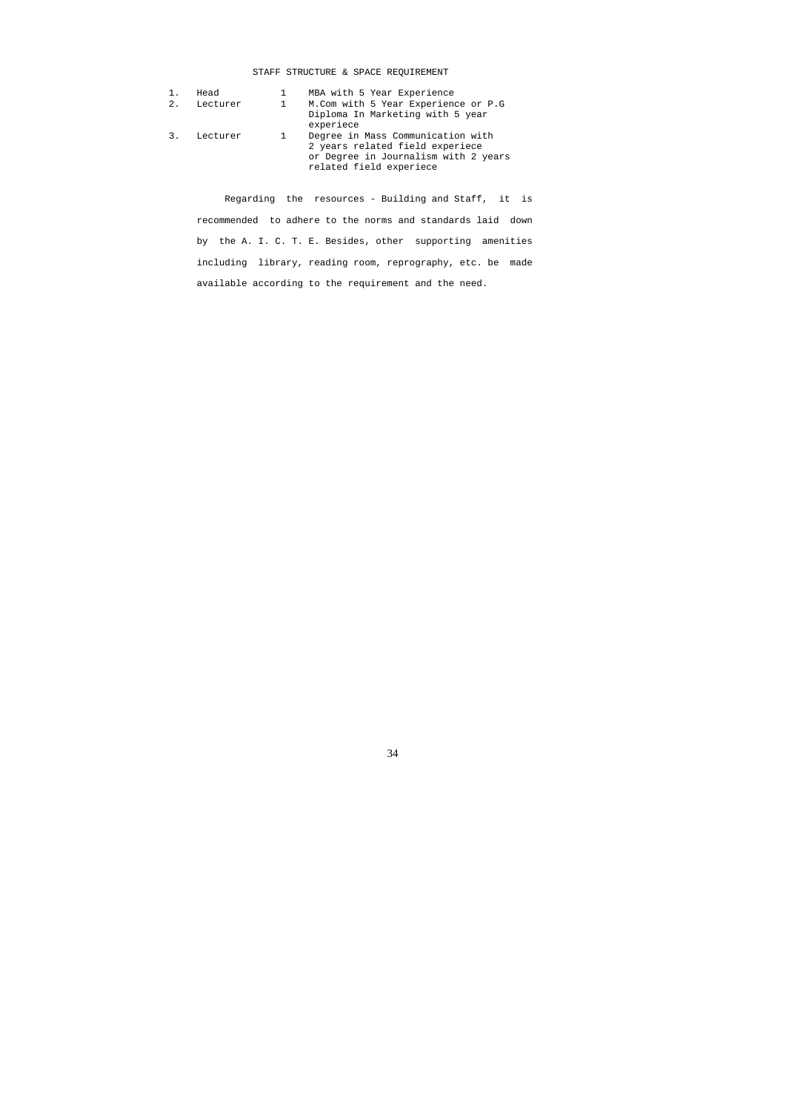# STAFF STRUCTURE & SPACE REQUIREMENT

|    | Head     |              | MBA with 5 Year Experience                                                                                                              |
|----|----------|--------------|-----------------------------------------------------------------------------------------------------------------------------------------|
| 2. | Lecturer | $\mathbf{1}$ | M.Com with 5 Year Experience or P.G<br>Diploma In Marketing with 5 year<br>experiece                                                    |
|    | Lecturer | 1            | Degree in Mass Communication with<br>2 years related field experiece<br>or Degree in Journalism with 2 years<br>related field experiece |

 Regarding the resources - Building and Staff, it is recommended to adhere to the norms and standards laid down by the A. I. C. T. E. Besides, other supporting amenities including library, reading room, reprography, etc. be made available according to the requirement and the need.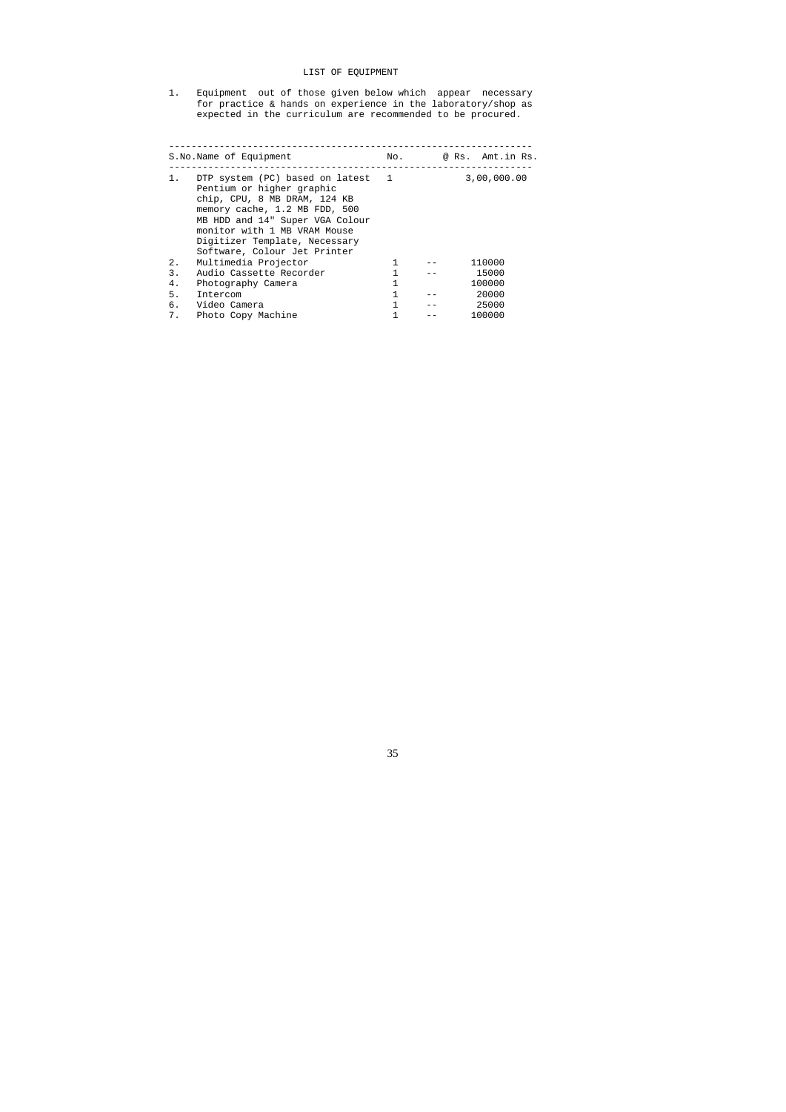# LIST OF EQUIPMENT

1. Equipment out of those given below which appear necessary for practice & hands on experience in the laboratory/shop as expected in the curriculum are recommended to be procured.

|    | S.No.Name of Equipment                                                                                                                                                                                                                                              | No. | @ Rs. Amt.in Rs. |
|----|---------------------------------------------------------------------------------------------------------------------------------------------------------------------------------------------------------------------------------------------------------------------|-----|------------------|
| 1. | DTP system (PC) based on latest 1<br>Pentium or higher graphic<br>chip, CPU, 8 MB DRAM, 124 KB<br>memory cache, 1.2 MB FDD, 500<br>MB HDD and 14" Super VGA Colour<br>monitor with 1 MB VRAM Mouse<br>Digitizer Template, Necessary<br>Software, Colour Jet Printer |     | 3,00,000.00      |
| 2. | Multimedia Projector                                                                                                                                                                                                                                                | 1   | 110000           |
| 3. | Audio Cassette Recorder                                                                                                                                                                                                                                             |     | 15000            |
| 4. | Photography Camera                                                                                                                                                                                                                                                  |     | 100000           |
| 5. | Intercom                                                                                                                                                                                                                                                            |     | 20000            |
| б. | Video Camera                                                                                                                                                                                                                                                        |     | 25000            |
| 7. | Photo Copy Machine                                                                                                                                                                                                                                                  |     | 100000           |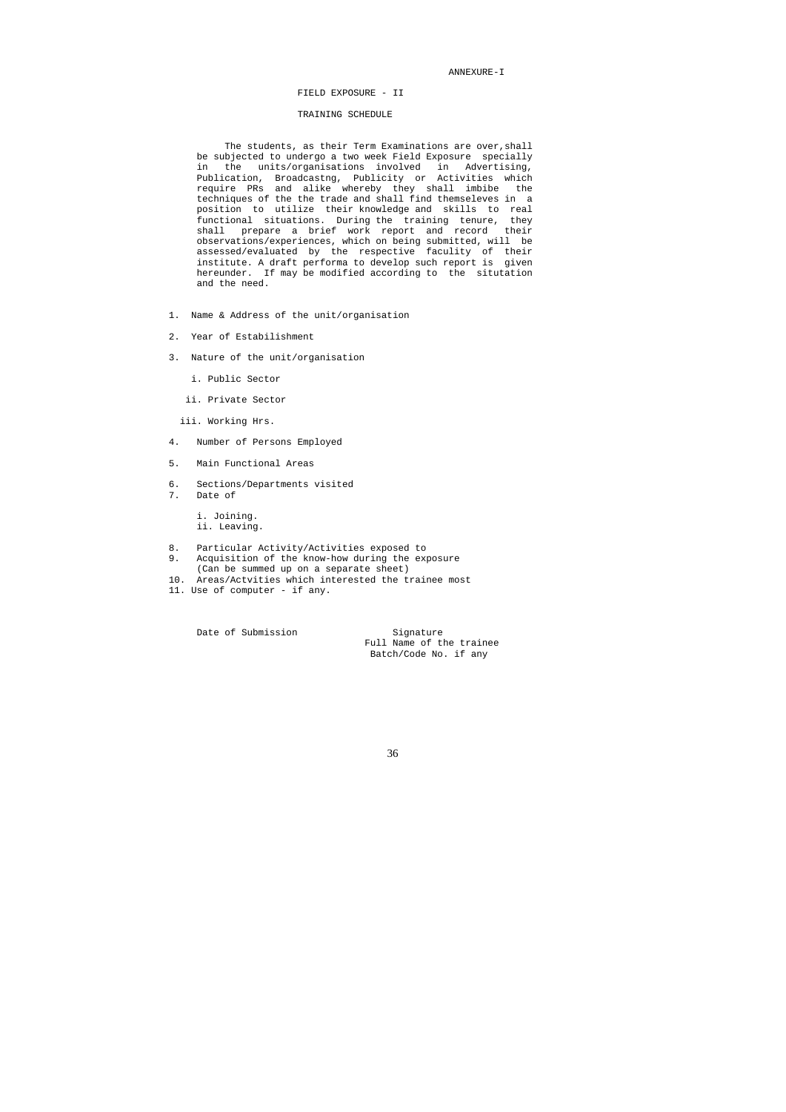ANNEXURE-I

FIELD EXPOSURE - II

## TRAINING SCHEDULE

The students, as their Term Examinations are over, shall be subjected to undergo a two week Field Exposure specially in the units/organisations involved in Advertising, Publication, Broadcastng, Publicity or Activities which require PRs and alike whereby they shall imbibe the techniques of the the trade and shall find themseleves in a position to utilize their knowledge and skills to real functional situations. During the training tenure, they shall prepare a brief work report and record their observations/experiences, which on being submitted, will be assessed/evaluated by the respective faculity of their institute. A draft performa to develop such report is given hereunder. If may be modified according to the situtation and the need.

- 1. Name & Address of the unit/organisation
- 2. Year of Estabilishment
- 3. Nature of the unit/organisation
	- i. Public Sector
	- ii. Private Sector
	- iii. Working Hrs.
- 4. Number of Persons Employed
- 5. Main Functional Areas
- 6. Sections/Departments visited
- 7. Date of

 i. Joining. ii. Leaving.

- 8. Particular Activity/Activities exposed to
- 9. Acquisition of the know-how during the exposure (Can be summed up on a separate sheet)
- 10. Areas/Actvities which interested the trainee most
- 11. Use of computer if any.

Date of Submission Signature

 Full Name of the trainee Batch/Code No. if any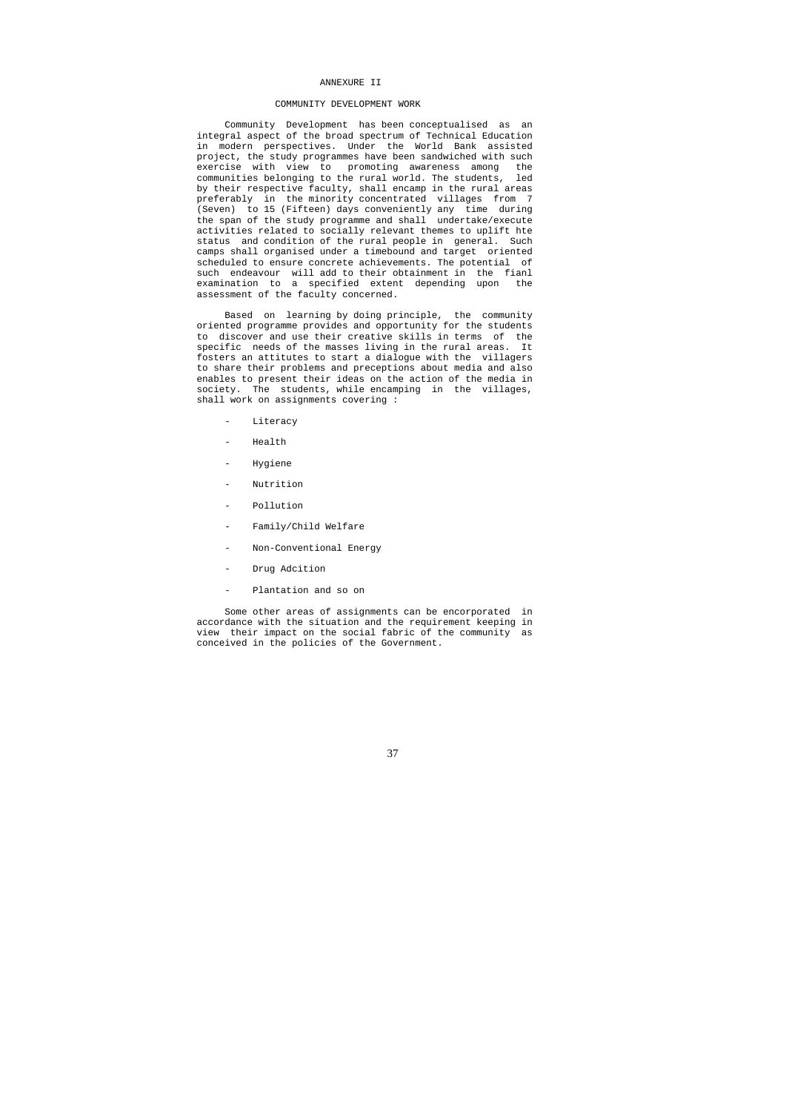#### ANNEXURE II

## COMMUNITY DEVELOPMENT WORK

 Community Development has been conceptualised as an integral aspect of the broad spectrum of Technical Education in modern perspectives. Under the World Bank assisted project, the study programmes have been sandwiched with such exercise with view to promoting awareness among the communities belonging to the rural world. The students, led by their respective faculty, shall encamp in the rural areas preferably in the minority concentrated villages from 7 (Seven) to 15 (Fifteen) days conveniently any time during the span of the study programme and shall undertake/execute activities related to socially relevant themes to uplift hte status and condition of the rural people in general. Such camps shall organised under a timebound and target oriented scheduled to ensure concrete achievements. The potential of such endeavour will add to their obtainment in the fianl examination to a specified extent depending upon the assessment of the faculty concerned.

- Literacy
- **Health**
- Hygiene
- Nutrition
- Pollution
- Family/Child Welfare
- Non-Conventional Energy
- Drug Adcition
- Plantation and so on

 Based on learning by doing principle, the community oriented programme provides and opportunity for the students to discover and use their creative skills in terms of the specific needs of the masses living in the rural areas. It fosters an attitutes to start a dialogue with the villagers to share their problems and preceptions about media and also enables to present their ideas on the action of the media in society. The students, while encamping in the villages, shall work on assignments covering :

 Some other areas of assignments can be encorporated in accordance with the situation and the requirement keeping in view their impact on the social fabric of the community as conceived in the policies of the Government.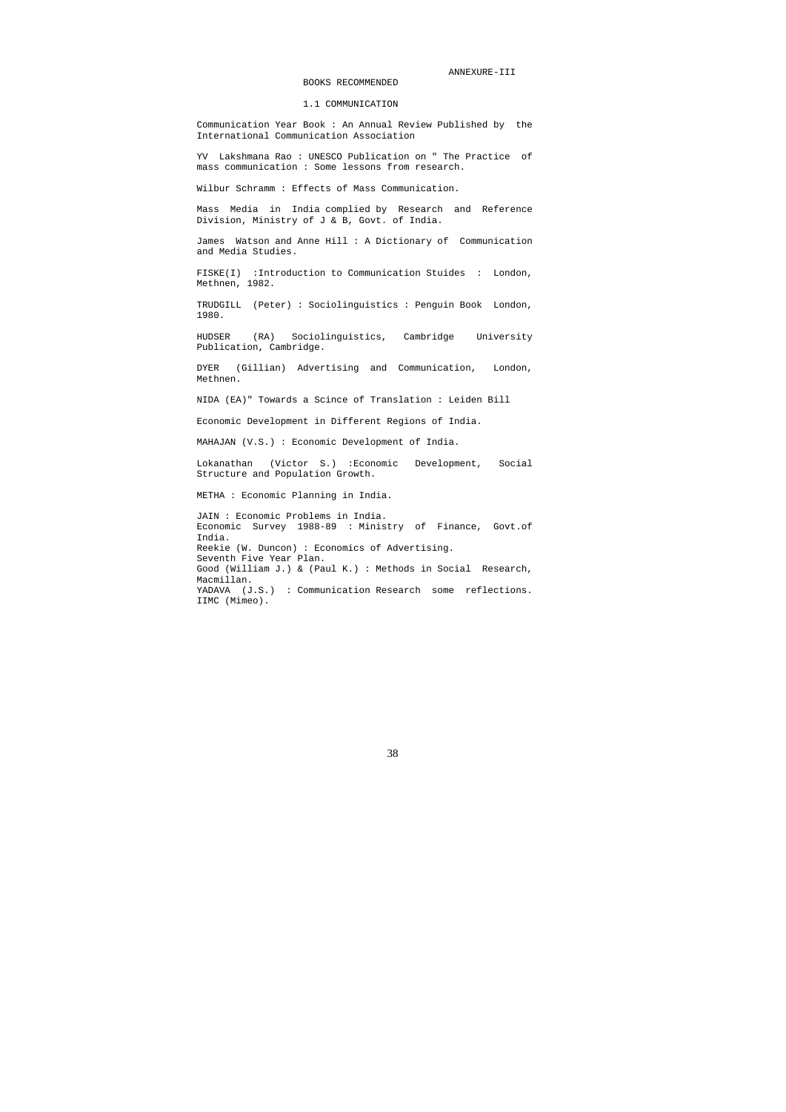ANNEXURE-III

BOOKS RECOMMENDED

# 1.1 COMMUNICATION

 Communication Year Book : An Annual Review Published by the International Communication Association

 YV Lakshmana Rao : UNESCO Publication on " The Practice of mass communication : Some lessons from research.

Wilbur Schramm : Effects of Mass Communication.

 Mass Media in India complied by Research and Reference Division, Ministry of J & B, Govt. of India.

 James Watson and Anne Hill : A Dictionary of Communication and Media Studies.

 FISKE(I) :Introduction to Communication Stuides : London, Methnen, 1982.

 TRUDGILL (Peter) : Sociolinguistics : Penguin Book London, 1980.

 HUDSER (RA) Sociolinguistics, Cambridge University Publication, Cambridge.

 DYER (Gillian) Advertising and Communication, London, Methnen.

NIDA (EA)" Towards a Scince of Translation : Leiden Bill

Economic Development in Different Regions of India.

MAHAJAN (V.S.) : Economic Development of India.

 Lokanathan (Victor S.) :Economic Development, Social Structure and Population Growth.

METHA : Economic Planning in India.

 JAIN : Economic Problems in India. Economic Survey 1988-89 : Ministry of Finance, Govt.of India. Reekie (W. Duncon) : Economics of Advertising. Seventh Five Year Plan. Good (William J.) & (Paul K.) : Methods in Social Research, Macmillan. YADAVA (J.S.) : Communication Research some reflections. IIMC (Mimeo).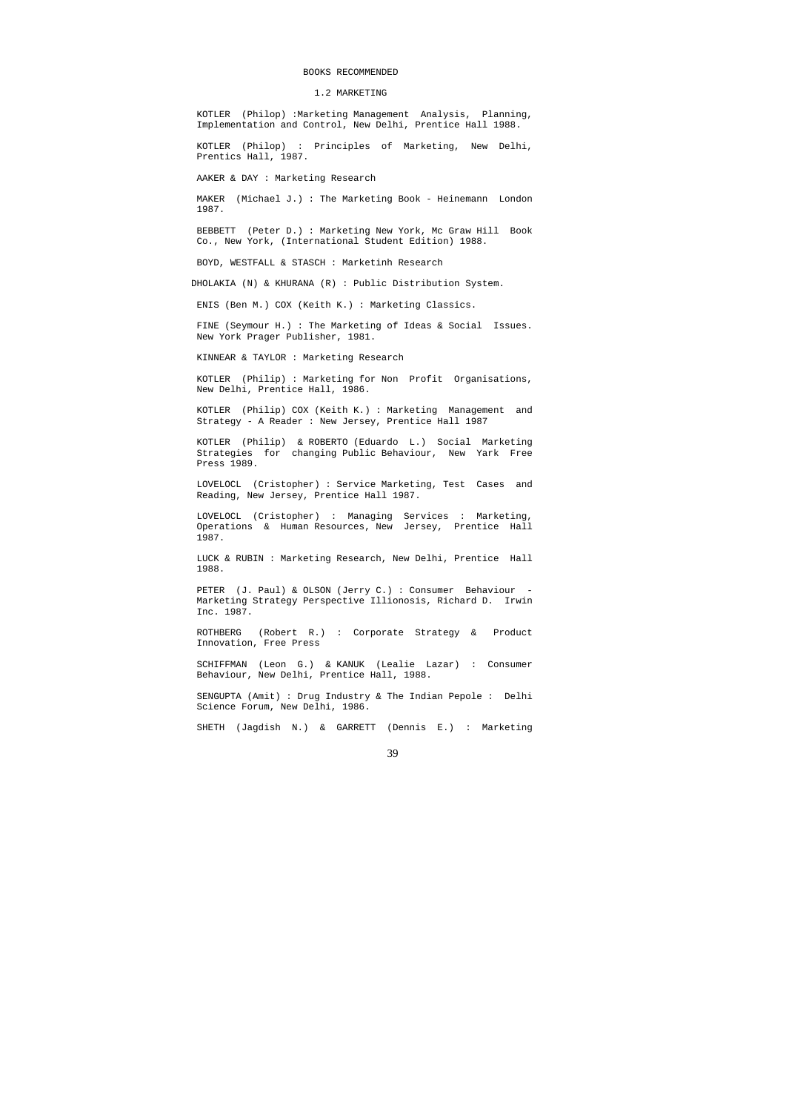#### BOOKS RECOMMENDED

1.2 MARKETING

 KOTLER (Philop) :Marketing Management Analysis, Planning, Implementation and Control, New Delhi, Prentice Hall 1988.

 KOTLER (Philop) : Principles of Marketing, New Delhi, Prentics Hall, 1987.

AAKER & DAY : Marketing Research

 MAKER (Michael J.) : The Marketing Book - Heinemann London 1987.

 BEBBETT (Peter D.) : Marketing New York, Mc Graw Hill Book Co., New York, (International Student Edition) 1988.

BOYD, WESTFALL & STASCH : Marketinh Research

DHOLAKIA (N) & KHURANA (R) : Public Distribution System.

ENIS (Ben M.) COX (Keith K.) : Marketing Classics.

 FINE (Seymour H.) : The Marketing of Ideas & Social Issues. New York Prager Publisher, 1981.

KINNEAR & TAYLOR : Marketing Research

PETER (J. Paul) & OLSON (Jerry C.) : Consumer Behaviour - Marketing Strategy Perspective Illionosis, Richard D. Irwin Inc. 1987.

 KOTLER (Philip) : Marketing for Non Profit Organisations, New Delhi, Prentice Hall, 1986.

 KOTLER (Philip) COX (Keith K.) : Marketing Management and Strategy - A Reader : New Jersey, Prentice Hall 1987

 KOTLER (Philip) & ROBERTO (Eduardo L.) Social Marketing Strategies for changing Public Behaviour, New Yark Free Press 1989.

 LOVELOCL (Cristopher) : Service Marketing, Test Cases and Reading, New Jersey, Prentice Hall 1987.

 LOVELOCL (Cristopher) : Managing Services : Marketing, Operations & Human Resources, New Jersey, Prentice Hall 1987.

 LUCK & RUBIN : Marketing Research, New Delhi, Prentice Hall 1988.

 ROTHBERG (Robert R.) : Corporate Strategy & Product Innovation, Free Press

 SCHIFFMAN (Leon G.) & KANUK (Lealie Lazar) : Consumer Behaviour, New Delhi, Prentice Hall, 1988.

 SENGUPTA (Amit) : Drug Industry & The Indian Pepole : Delhi Science Forum, New Delhi, 1986.

SHETH (Jagdish N.) & GARRETT (Dennis E.) : Marketing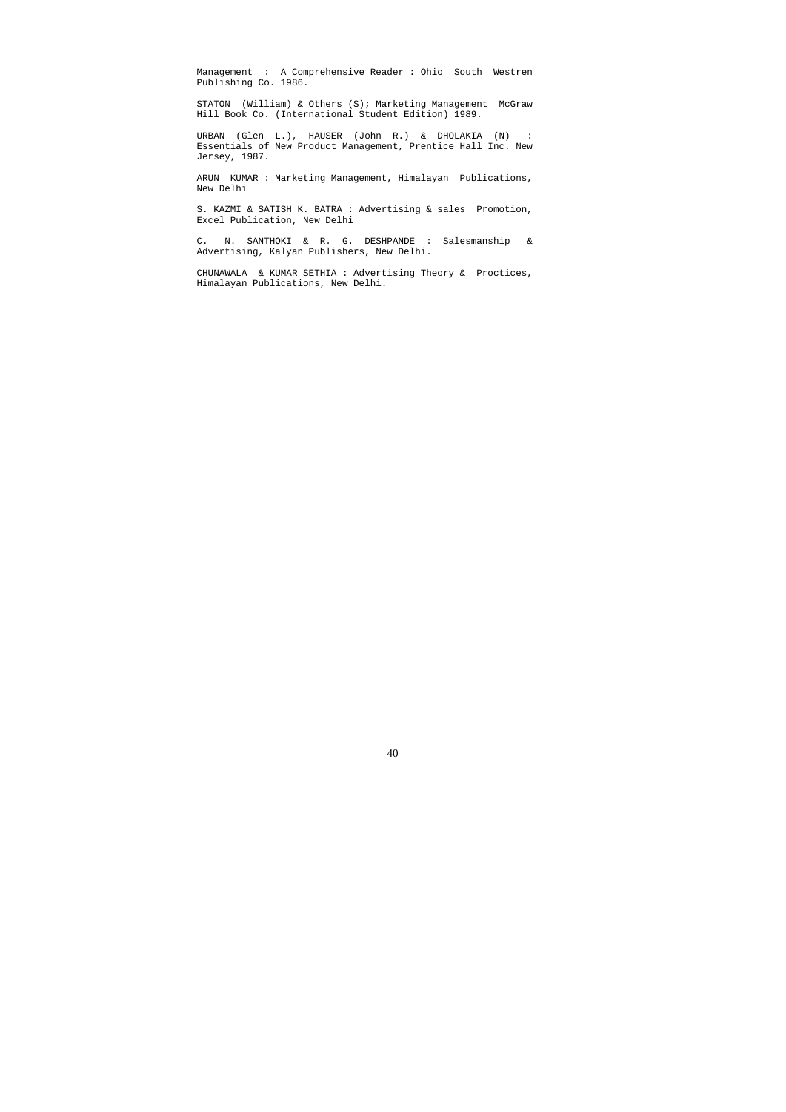Management : A Comprehensive Reader : Ohio South Westren Publishing Co. 1986.

 STATON (William) & Others (S); Marketing Management McGraw Hill Book Co. (International Student Edition) 1989.

 URBAN (Glen L.), HAUSER (John R.) & DHOLAKIA (N) : Essentials of New Product Management, Prentice Hall Inc. New Jersey, 1987.

 ARUN KUMAR : Marketing Management, Himalayan Publications, New Delhi

 S. KAZMI & SATISH K. BATRA : Advertising & sales Promotion, Excel Publication, New Delhi

 C. N. SANTHOKI & R. G. DESHPANDE : Salesmanship & Advertising, Kalyan Publishers, New Delhi.

 CHUNAWALA & KUMAR SETHIA : Advertising Theory & Proctices, Himalayan Publications, New Delhi.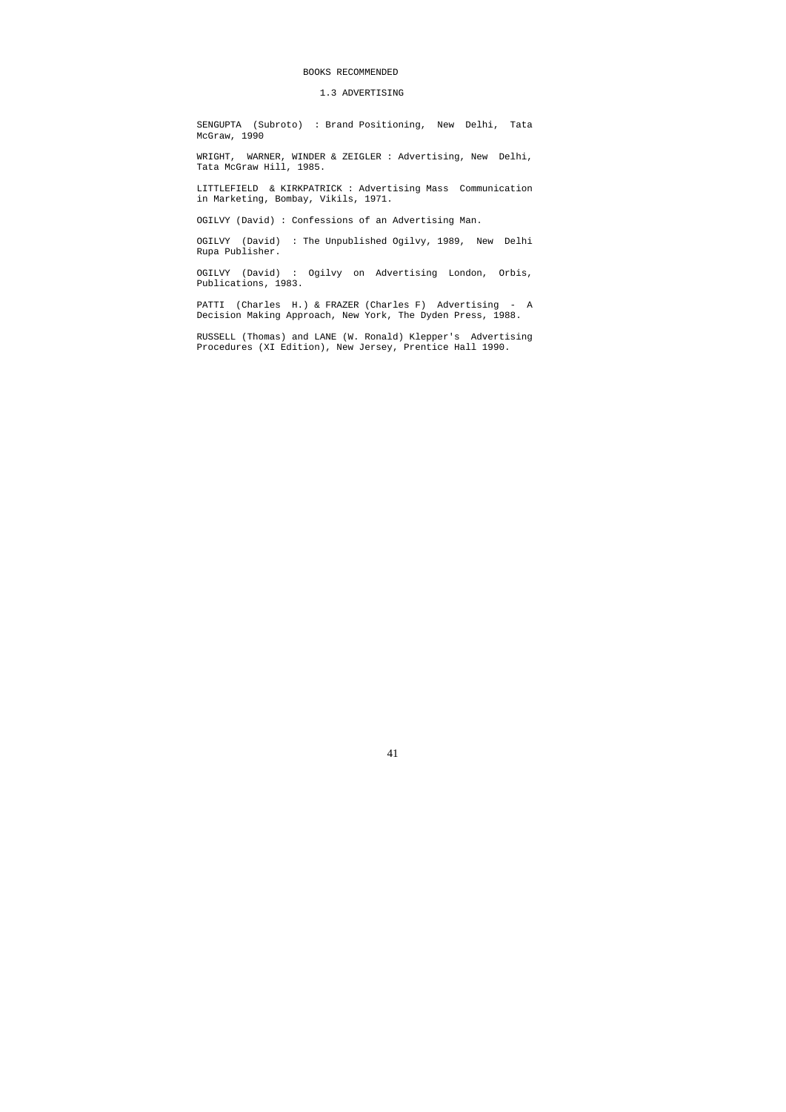## BOOKS RECOMMENDED

# 1.3 ADVERTISING

 SENGUPTA (Subroto) : Brand Positioning, New Delhi, Tata McGraw, 1990

 WRIGHT, WARNER, WINDER & ZEIGLER : Advertising, New Delhi, Tata McGraw Hill, 1985.

 LITTLEFIELD & KIRKPATRICK : Advertising Mass Communication in Marketing, Bombay, Vikils, 1971.

OGILVY (David) : Confessions of an Advertising Man.

 OGILVY (David) : The Unpublished Ogilvy, 1989, New Delhi Rupa Publisher.

 OGILVY (David) : Ogilvy on Advertising London, Orbis, Publications, 1983.

 PATTI (Charles H.) & FRAZER (Charles F) Advertising - A Decision Making Approach, New York, The Dyden Press, 1988.

 RUSSELL (Thomas) and LANE (W. Ronald) Klepper's Advertising Procedures (XI Edition), New Jersey, Prentice Hall 1990.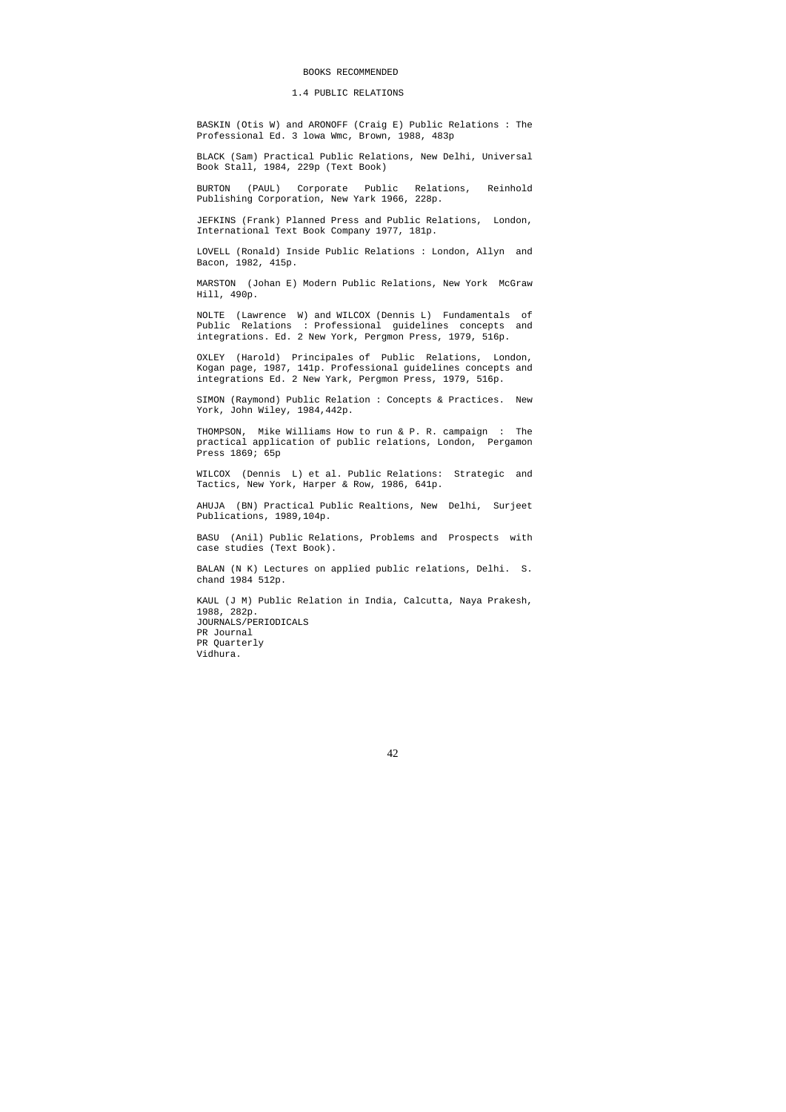#### BOOKS RECOMMENDED

#### 1.4 PUBLIC RELATIONS

 BASKIN (Otis W) and ARONOFF (Craig E) Public Relations : The Professional Ed. 3 lowa Wmc, Brown, 1988, 483p

 BLACK (Sam) Practical Public Relations, New Delhi, Universal Book Stall, 1984, 229p (Text Book)

 BURTON (PAUL) Corporate Public Relations, Reinhold Publishing Corporation, New Yark 1966, 228p.

 JEFKINS (Frank) Planned Press and Public Relations, London, International Text Book Company 1977, 181p.

 LOVELL (Ronald) Inside Public Relations : London, Allyn and Bacon, 1982, 415p.

 MARSTON (Johan E) Modern Public Relations, New York McGraw Hill, 490p.

 NOLTE (Lawrence W) and WILCOX (Dennis L) Fundamentals of Public Relations : Professional guidelines concepts and integrations. Ed. 2 New York, Pergmon Press, 1979, 516p.

 OXLEY (Harold) Principales of Public Relations, London, Kogan page, 1987, 141p. Professional guidelines concepts and integrations Ed. 2 New Yark, Pergmon Press, 1979, 516p.

 SIMON (Raymond) Public Relation : Concepts & Practices. New York, John Wiley, 1984,442p.

 THOMPSON, Mike Williams How to run & P. R. campaign : The practical application of public relations, London, Pergamon Press 1869; 65p

 WILCOX (Dennis L) et al. Public Relations: Strategic and Tactics, New York, Harper & Row, 1986, 641p.

 AHUJA (BN) Practical Public Realtions, New Delhi, Surjeet Publications, 1989,104p.

 BASU (Anil) Public Relations, Problems and Prospects with case studies (Text Book).

 BALAN (N K) Lectures on applied public relations, Delhi. S. chand 1984 512p.

 KAUL (J M) Public Relation in India, Calcutta, Naya Prakesh, 1988, 282p. JOURNALS/PERIODICALS PR Journal PR Quarterly Vidhura.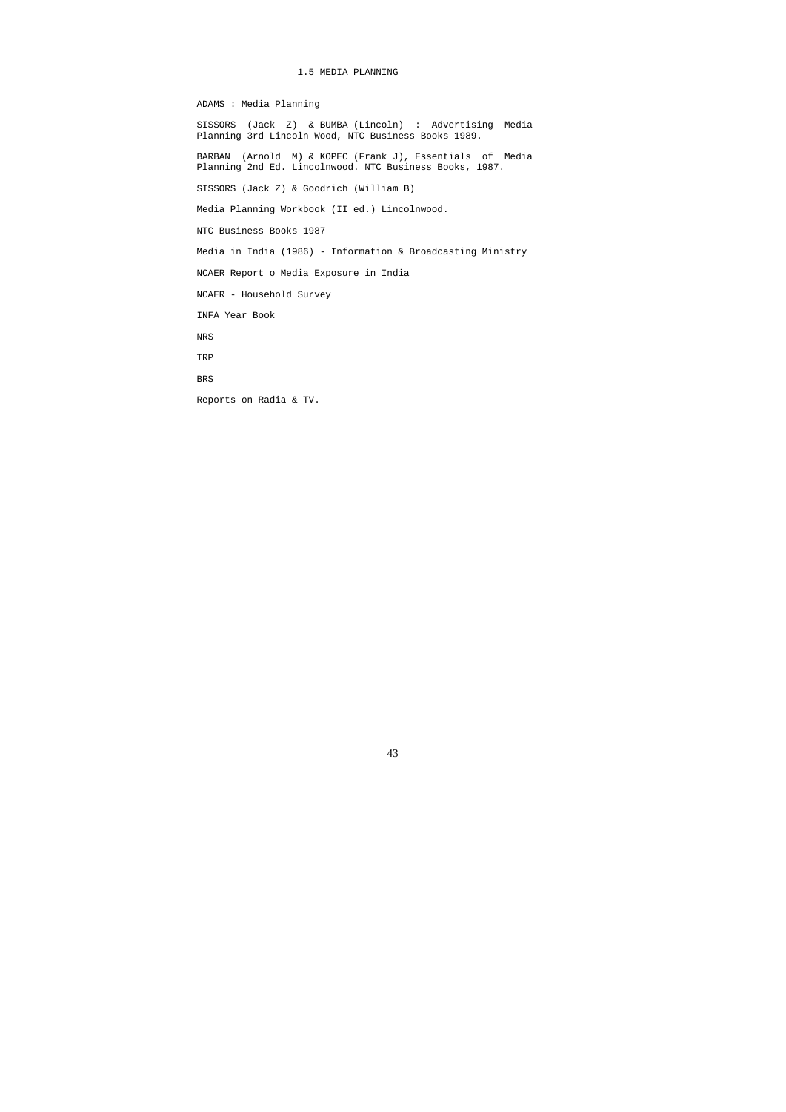# 1.5 MEDIA PLANNING

ADAMS : Media Planning

 SISSORS (Jack Z) & BUMBA (Lincoln) : Advertising Media Planning 3rd Lincoln Wood, NTC Business Books 1989. BARBAN (Arnold M) & KOPEC (Frank J), Essentials of Media Planning 2nd Ed. Lincolnwood. NTC Business Books, 1987. SISSORS (Jack Z) & Goodrich (William B) Media Planning Workbook (II ed.) Lincolnwood. NTC Business Books 1987 Media in India (1986) - Information & Broadcasting Ministry NCAER Report o Media Exposure in India NCAER - Household Survey INFA Year Book NRS TRP BRS Reports on Radia & TV.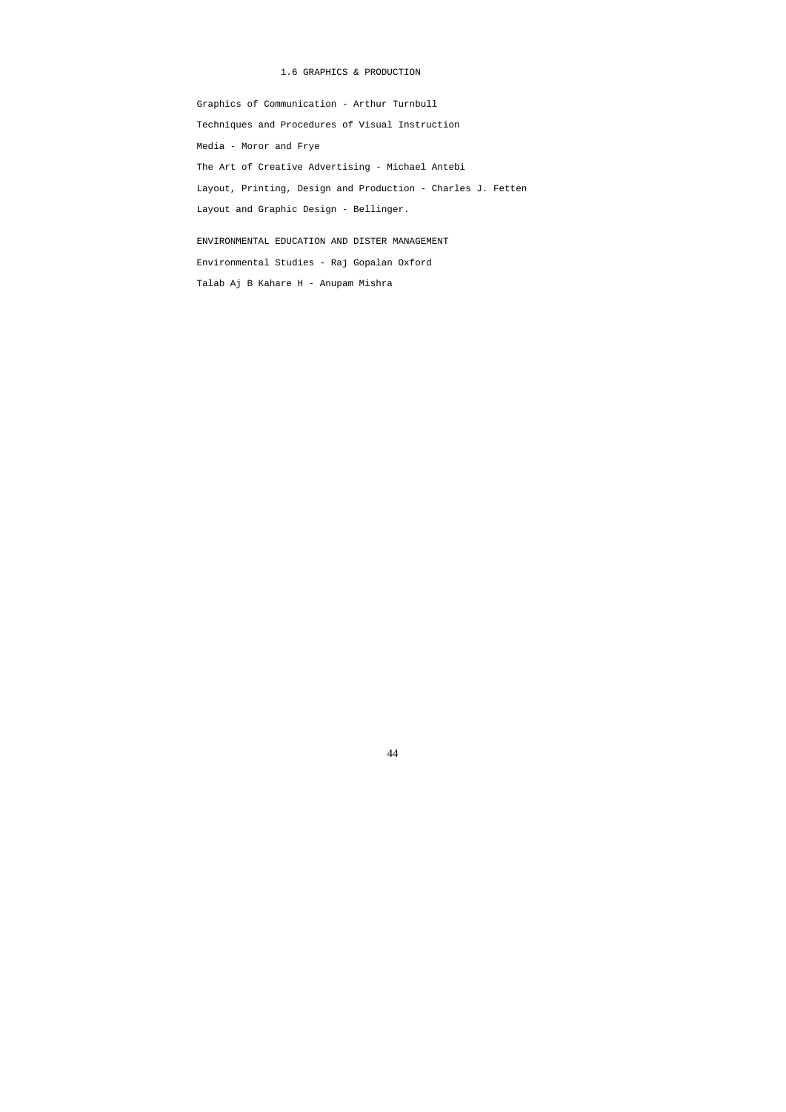# 1.6 GRAPHICS & PRODUCTION

 Graphics of Communication - Arthur Turnbull Techniques and Procedures of Visual Instruction Media - Moror and Frye The Art of Creative Advertising - Michael Antebi Layout, Printing, Design and Production - Charles J. Fetten Layout and Graphic Design - Bellinger. ENVIRONMENTAL EDUCATION AND DISTER MANAGEMENT Environmental Studies - Raj Gopalan Oxford Talab Aj B Kahare H - Anupam Mishra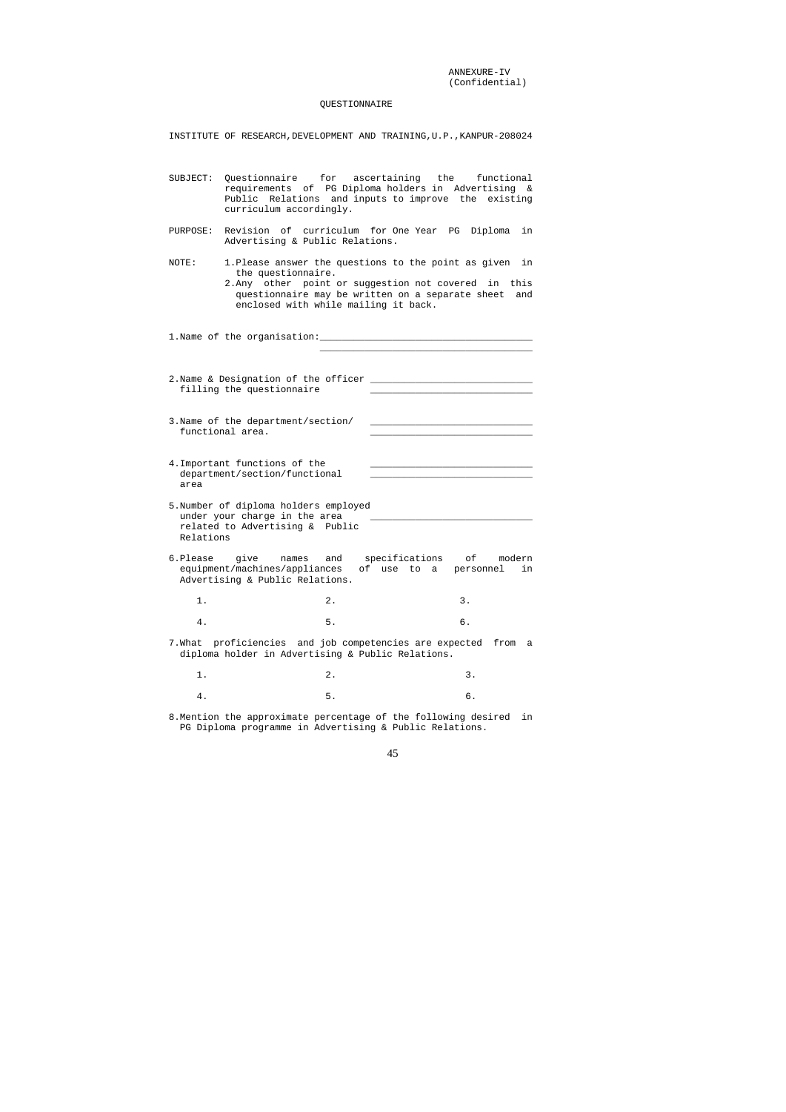ANNEXURE-IV (Confidential)

# QUESTIONNAIRE

INSTITUTE OF RESEARCH,DEVELOPMENT AND TRAINING,U.P.,KANPUR-208024

- SUBJECT: Questionnaire for ascertaining the functional requirements of PG Diploma holders in Advertising & Public Relations and inputs to improve the existing curriculum accordingly. PURPOSE: Revision of curriculum for One Year PG Diploma in Advertising & Public Relations. NOTE: 1.Please answer the questions to the point as given in the questionnaire. 2.Any other point or suggestion not covered in this questionnaire may be written on a separate sheet and enclosed with while mailing it back. 1. Name of the organisation:  $\_$ 2.Name & Designation of the officer \_\_\_\_\_\_\_\_\_\_\_\_\_\_\_\_\_\_\_\_\_\_\_\_\_\_\_\_\_ filling the questionnaire 3. Name of the department/section/ functional area. 4. Important functions of the department/section/functional \_\_\_\_\_\_\_\_\_\_\_\_\_\_\_\_\_\_\_\_\_\_\_\_\_\_\_\_\_ area 5.Number of diploma holders employed under your charge in the area related to Advertising & Public Relations 6.Please give names and specifications of modern equipment/machines/appliances of use to a personnel in Advertising & Public Relations. 1. 2. 3. 4. 5. 6. 7.What proficiencies and job competencies are expected from a diploma holder in Advertising & Public Relations. 1. 2. 3. 4. 5. 6.
- 8.Mention the approximate percentage of the following desired in PG Diploma programme in Advertising & Public Relations.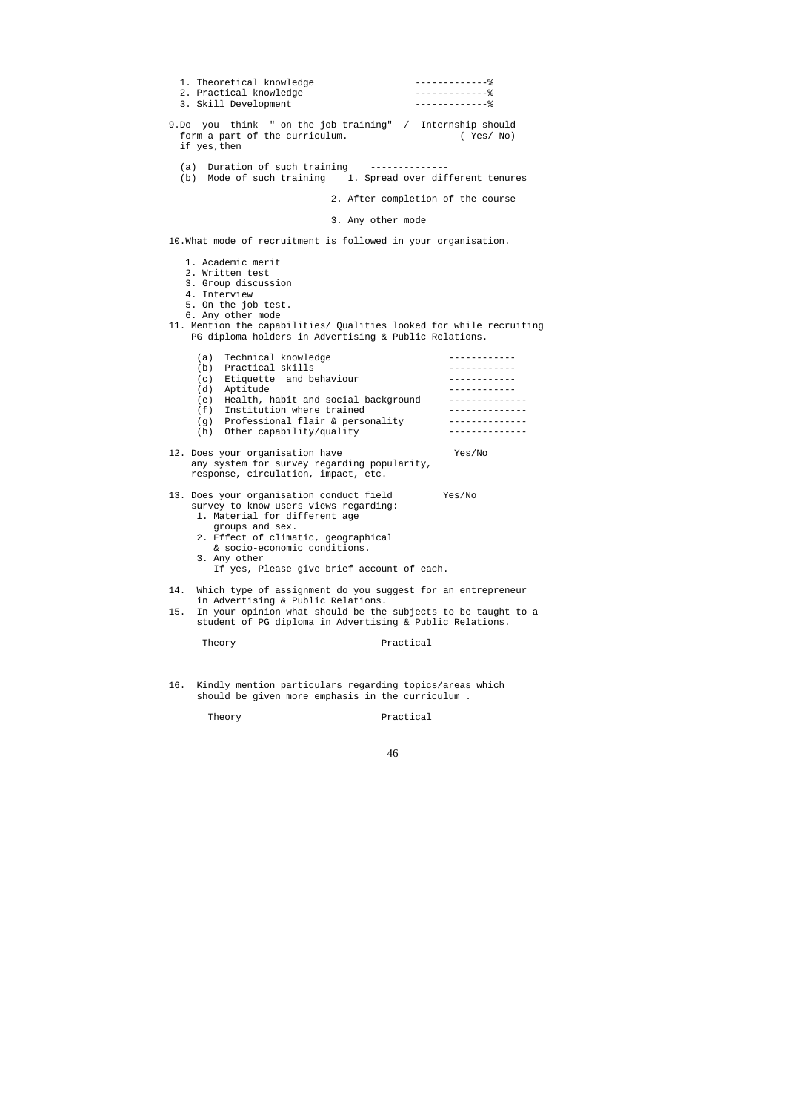| 1. Theoretical knowledge<br>2. Practical knowledge<br>3. Skill Development                                                                                                                                                                                                 | $---------------$<br>$---------------$<br>$---------------$                                                      |
|----------------------------------------------------------------------------------------------------------------------------------------------------------------------------------------------------------------------------------------------------------------------------|------------------------------------------------------------------------------------------------------------------|
| 9.Do you think " on the job training" / Internship should<br>form a part of the curriculum.<br>if yes, then                                                                                                                                                                | (Yes/No)                                                                                                         |
| (a) Duration of such training -------<br>(b) Mode of such training 1. Spread over different tenures                                                                                                                                                                        |                                                                                                                  |
| 2. After completion of the course                                                                                                                                                                                                                                          |                                                                                                                  |
| 3. Any other mode                                                                                                                                                                                                                                                          |                                                                                                                  |
| 10. What mode of recruitment is followed in your organisation.                                                                                                                                                                                                             |                                                                                                                  |
| 1. Academic merit<br>2. Written test<br>3. Group discussion<br>4. Interview<br>5. On the job test.<br>6. Any other mode<br>11. Mention the capabilities/ Qualities looked for while recruiting<br>PG diploma holders in Advertising & Public Relations.                    |                                                                                                                  |
| Technical knowledge<br>(a)<br>(b) Practical skills<br>(c) Etiquette and behaviour<br>(d) Aptitude<br>Health, habit and social background<br>(e)<br>Institution where trained<br>(f)<br>(g) Professional flair & personality<br>Other capability/quality<br>(h)             | -----------<br>____________<br>____________<br>____________<br>______________<br>--------------<br>------------- |
| 12. Does your organisation have<br>any system for survey regarding popularity,<br>response, circulation, impact, etc.                                                                                                                                                      | Yes/No                                                                                                           |
| 13. Does your organisation conduct field<br>survey to know users views regarding:<br>1. Material for different age<br>groups and sex.<br>2. Effect of climatic, geographical<br>& socio-economic conditions.<br>3. Any other<br>If yes, Please give brief account of each. | Yes/No                                                                                                           |
| Which type of assignment do you suggest for an entrepreneur<br>14.<br>in Advertising & Public Relations.<br>In your opinion what should be the subjects to be taught to a<br>15.<br>student of PG diploma in Advertising & Public Relations.                               |                                                                                                                  |
| Theory                                                                                                                                                                                                                                                                     | Practical                                                                                                        |
| Kindly mention particulars regarding topics/areas which<br>16.                                                                                                                                                                                                             |                                                                                                                  |

should be given more emphasis in the curriculum .

Theory Practical